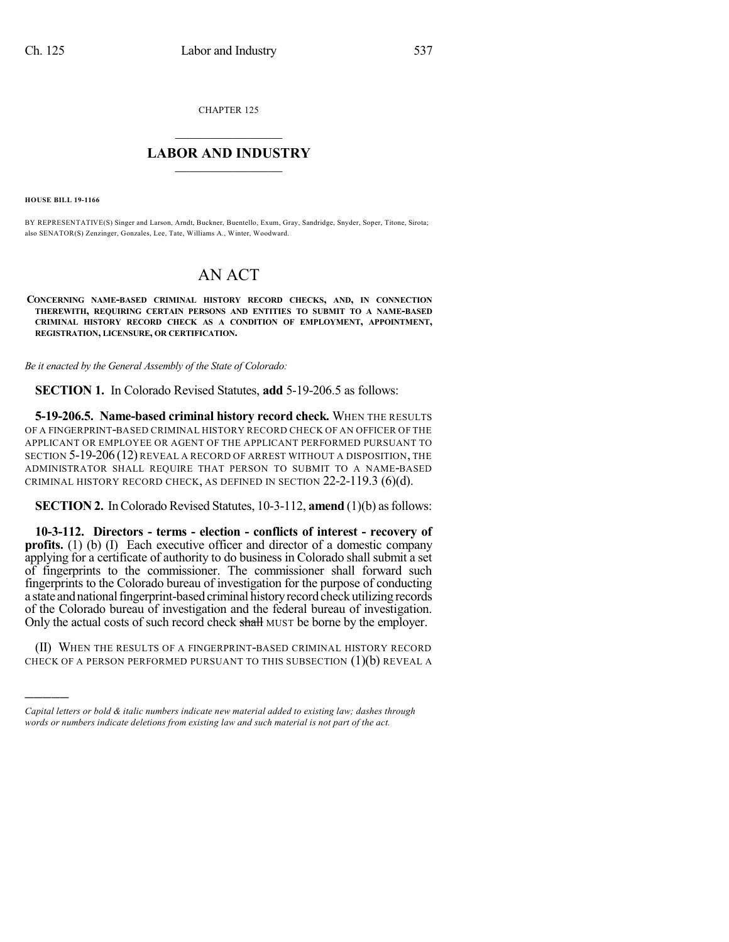CHAPTER 125

## $\mathcal{L}_\text{max}$  . The set of the set of the set of the set of the set of the set of the set of the set of the set of the set of the set of the set of the set of the set of the set of the set of the set of the set of the set **LABOR AND INDUSTRY**  $\frac{1}{\sqrt{2}}$  ,  $\frac{1}{\sqrt{2}}$  ,  $\frac{1}{\sqrt{2}}$  ,  $\frac{1}{\sqrt{2}}$  ,  $\frac{1}{\sqrt{2}}$  ,  $\frac{1}{\sqrt{2}}$

**HOUSE BILL 19-1166**

)))))

BY REPRESENTATIVE(S) Singer and Larson, Arndt, Buckner, Buentello, Exum, Gray, Sandridge, Snyder, Soper, Titone, Sirota; also SENATOR(S) Zenzinger, Gonzales, Lee, Tate, Williams A., Winter, Woodward.

# AN ACT

**CONCERNING NAME-BASED CRIMINAL HISTORY RECORD CHECKS, AND, IN CONNECTION THEREWITH, REQUIRING CERTAIN PERSONS AND ENTITIES TO SUBMIT TO A NAME-BASED CRIMINAL HISTORY RECORD CHECK AS A CONDITION OF EMPLOYMENT, APPOINTMENT, REGISTRATION, LICENSURE, OR CERTIFICATION.**

*Be it enacted by the General Assembly of the State of Colorado:*

**SECTION 1.** In Colorado Revised Statutes, **add** 5-19-206.5 as follows:

**5-19-206.5. Name-based criminal history record check.** WHEN THE RESULTS OF A FINGERPRINT-BASED CRIMINAL HISTORY RECORD CHECK OF AN OFFICER OF THE APPLICANT OR EMPLOYEE OR AGENT OF THE APPLICANT PERFORMED PURSUANT TO SECTION 5-19-206 (12) REVEAL A RECORD OF ARREST WITHOUT A DISPOSITION, THE ADMINISTRATOR SHALL REQUIRE THAT PERSON TO SUBMIT TO A NAME-BASED CRIMINAL HISTORY RECORD CHECK, AS DEFINED IN SECTION  $22-2-119.3$  (6)(d).

**SECTION 2.** In Colorado Revised Statutes, 10-3-112, **amend** (1)(b) as follows:

**10-3-112. Directors - terms - election - conflicts of interest - recovery of profits.** (1) (b) (I) Each executive officer and director of a domestic company applying for a certificate of authority to do business in Colorado shall submit a set of fingerprints to the commissioner. The commissioner shall forward such fingerprints to the Colorado bureau of investigation for the purpose of conducting a state and national fingerprint-based criminal history record check utilizing records of the Colorado bureau of investigation and the federal bureau of investigation. Only the actual costs of such record check shall MUST be borne by the employer.

(II) WHEN THE RESULTS OF A FINGERPRINT-BASED CRIMINAL HISTORY RECORD CHECK OF A PERSON PERFORMED PURSUANT TO THIS SUBSECTION (1)(b) REVEAL A

*Capital letters or bold & italic numbers indicate new material added to existing law; dashes through words or numbers indicate deletions from existing law and such material is not part of the act.*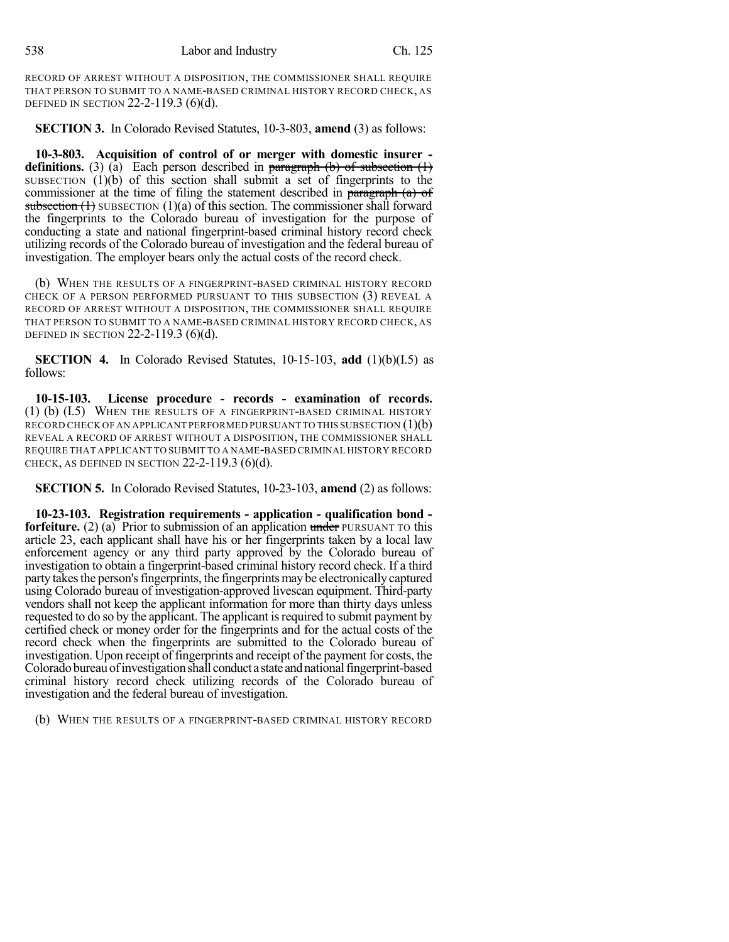538 Labor and Industry Ch. 125

RECORD OF ARREST WITHOUT A DISPOSITION, THE COMMISSIONER SHALL REQUIRE THAT PERSON TO SUBMIT TO A NAME-BASED CRIMINAL HISTORY RECORD CHECK, AS DEFINED IN SECTION 22-2-119.3 (6)(d).

**SECTION 3.** In Colorado Revised Statutes, 10-3-803, **amend** (3) as follows:

**10-3-803. Acquisition of control of or merger with domestic insurer definitions.** (3) (a) Each person described in  $\frac{\text{parameter of}}{\text{average}}$  (b) of subsection (1) SUBSECTION  $(1)(b)$  of this section shall submit a set of fingerprints to the commissioner at the time of filing the statement described in paragraph (a) of subsection  $(1)$  SUBSECTION  $(1)(a)$  of this section. The commissioner shall forward the fingerprints to the Colorado bureau of investigation for the purpose of conducting a state and national fingerprint-based criminal history record check utilizing records of the Colorado bureau of investigation and the federal bureau of investigation. The employer bears only the actual costs of the record check.

(b) WHEN THE RESULTS OF A FINGERPRINT-BASED CRIMINAL HISTORY RECORD CHECK OF A PERSON PERFORMED PURSUANT TO THIS SUBSECTION (3) REVEAL A RECORD OF ARREST WITHOUT A DISPOSITION, THE COMMISSIONER SHALL REQUIRE THAT PERSON TO SUBMIT TO A NAME-BASED CRIMINAL HISTORY RECORD CHECK, AS DEFINED IN SECTION 22-2-119.3 (6)(d).

**SECTION 4.** In Colorado Revised Statutes, 10-15-103, **add** (1)(b)(I.5) as follows:

**10-15-103. License procedure - records - examination of records.** (1) (b) (I.5) WHEN THE RESULTS OF A FINGERPRINT-BASED CRIMINAL HISTORY RECORD CHECK OF AN APPLICANT PERFORMED PURSUANT TO THIS SUBSECTION  $(1)(b)$ REVEAL A RECORD OF ARREST WITHOUT A DISPOSITION, THE COMMISSIONER SHALL REQUIRE THAT APPLICANT TO SUBMIT TO A NAME-BASED CRIMINAL HISTORY RECORD CHECK, AS DEFINED IN SECTION  $22-2-119.3$  (6)(d).

**SECTION 5.** In Colorado Revised Statutes, 10-23-103, **amend** (2) as follows:

**10-23-103. Registration requirements - application - qualification bond forfeiture.** (2) (a) Prior to submission of an application under PURSUANT TO this article 23, each applicant shall have his or her fingerprints taken by a local law enforcement agency or any third party approved by the Colorado bureau of investigation to obtain a fingerprint-based criminal history record check. If a third party takes the person's fingerprints, the fingerprints may be electronically captured using Colorado bureau of investigation-approved livescan equipment. Third-party vendors shall not keep the applicant information for more than thirty days unless requested to do so by the applicant. The applicant is required to submit payment by certified check or money order for the fingerprints and for the actual costs of the record check when the fingerprints are submitted to the Colorado bureau of investigation. Upon receipt of fingerprints and receipt of the payment for costs, the Coloradobureauofinvestigationshall conduct a state andnationalfingerprint-based criminal history record check utilizing records of the Colorado bureau of investigation and the federal bureau of investigation.

(b) WHEN THE RESULTS OF A FINGERPRINT-BASED CRIMINAL HISTORY RECORD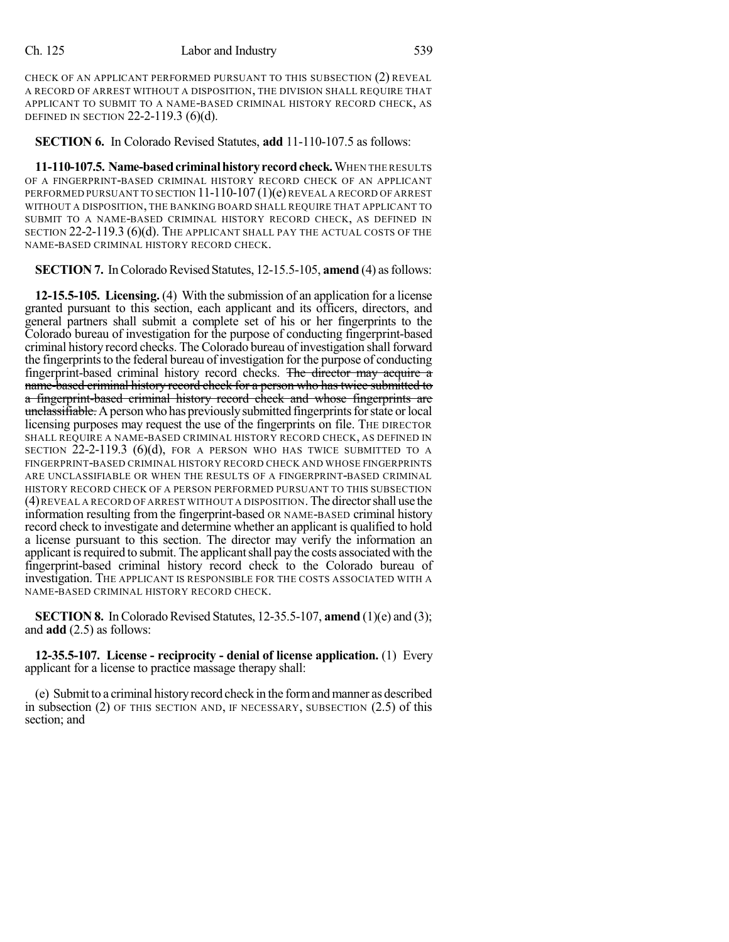CHECK OF AN APPLICANT PERFORMED PURSUANT TO THIS SUBSECTION (2) REVEAL A RECORD OF ARREST WITHOUT A DISPOSITION, THE DIVISION SHALL REQUIRE THAT APPLICANT TO SUBMIT TO A NAME-BASED CRIMINAL HISTORY RECORD CHECK, AS DEFINED IN SECTION 22-2-119.3 (6)(d).

**SECTION 6.** In Colorado Revised Statutes, **add** 11-110-107.5 as follows:

**11-110-107.5. Name-basedcriminalhistoryrecordcheck.**WHEN THE RESULTS OF A FINGERPRINT-BASED CRIMINAL HISTORY RECORD CHECK OF AN APPLICANT PERFORMED PURSUANT TO SECTION 11-110-107 (1)(e) REVEAL A RECORD OF ARREST WITHOUT A DISPOSITION, THE BANKING BOARD SHALL REQUIRE THAT APPLICANT TO SUBMIT TO A NAME-BASED CRIMINAL HISTORY RECORD CHECK, AS DEFINED IN SECTION 22-2-119.3 (6)(d). THE APPLICANT SHALL PAY THE ACTUAL COSTS OF THE NAME-BASED CRIMINAL HISTORY RECORD CHECK.

**SECTION 7.** In Colorado Revised Statutes, 12-15.5-105, **amend** (4) as follows:

**12-15.5-105. Licensing.** (4) With the submission of an application for a license granted pursuant to this section, each applicant and its officers, directors, and general partners shall submit a complete set of his or her fingerprints to the Colorado bureau of investigation for the purpose of conducting fingerprint-based criminal history record checks. The Colorado bureau of investigation shall forward the fingerprints to the federal bureau of investigation for the purpose of conducting fingerprint-based criminal history record checks. The director may acquire a name-based criminal history record check for a person who has twice submitted to a fingerprint-based criminal history record check and whose fingerprints are unclassifiable. A person who has previously submitted fingerprints for state or local licensing purposes may request the use of the fingerprints on file. The DIRECTOR SHALL REQUIRE A NAME-BASED CRIMINAL HISTORY RECORD CHECK, AS DEFINED IN SECTION 22-2-119.3 (6)(d), FOR A PERSON WHO HAS TWICE SUBMITTED TO A FINGERPRINT-BASED CRIMINAL HISTORY RECORD CHECK AND WHOSE FINGERPRINTS ARE UNCLASSIFIABLE OR WHEN THE RESULTS OF A FINGERPRINT-BASED CRIMINAL HISTORY RECORD CHECK OF A PERSON PERFORMED PURSUANT TO THIS SUBSECTION (4)REVEAL A RECORD OF ARREST WITHOUT A DISPOSITION. The directorshall use the information resulting from the fingerprint-based OR NAME-BASED criminal history record check to investigate and determine whether an applicant is qualified to hold a license pursuant to this section. The director may verify the information an applicant is required to submit. The applicant shall pay the costs associated with the fingerprint-based criminal history record check to the Colorado bureau of investigation. THE APPLICANT IS RESPONSIBLE FOR THE COSTS ASSOCIATED WITH A NAME-BASED CRIMINAL HISTORY RECORD CHECK.

**SECTION 8.** In Colorado Revised Statutes, 12-35.5-107, **amend** (1)(e) and (3); and **add** (2.5) as follows:

**12-35.5-107. License - reciprocity - denial of license application.** (1) Every applicant for a license to practice massage therapy shall:

(e) Submit to a criminal historyrecord check in the formandmanner as described in subsection (2) OF THIS SECTION AND, IF NECESSARY, SUBSECTION (2.5) of this section; and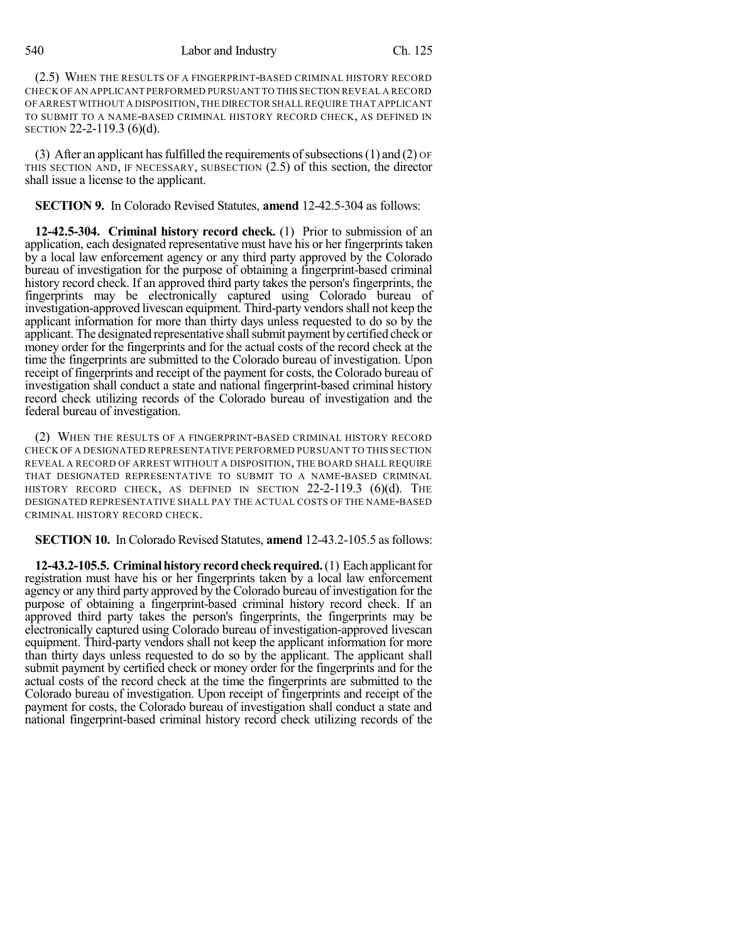540 Labor and Industry Ch. 125

(2.5) WHEN THE RESULTS OF A FINGERPRINT-BASED CRIMINAL HISTORY RECORD CHECK OF AN APPLICANT PERFORMED PURSUANT TO THIS SECTION REVEAL A RECORD OF ARREST WITHOUT A DISPOSITION,THE DIRECTOR SHALL REQUIRE THAT APPLICANT TO SUBMIT TO A NAME-BASED CRIMINAL HISTORY RECORD CHECK, AS DEFINED IN SECTION 22-2-119.3 (6)(d).

(3) After an applicant has fulfilled the requirements of subsections (1) and (2)  $\sigma$ F THIS SECTION AND, IF NECESSARY, SUBSECTION (2.5) of this section, the director shall issue a license to the applicant.

**SECTION 9.** In Colorado Revised Statutes, **amend** 12-42.5-304 as follows:

**12-42.5-304. Criminal history record check.** (1) Prior to submission of an application, each designated representative must have his or her fingerprints taken by a local law enforcement agency or any third party approved by the Colorado bureau of investigation for the purpose of obtaining a fingerprint-based criminal history record check. If an approved third party takes the person's fingerprints, the fingerprints may be electronically captured using Colorado bureau of investigation-approved livescan equipment. Third-party vendors shall not keep the applicant information for more than thirty days unless requested to do so by the applicant. The designated representative shall submit payment by certified check or money order for the fingerprints and for the actual costs of the record check at the time the fingerprints are submitted to the Colorado bureau of investigation. Upon receipt of fingerprints and receipt of the payment for costs, the Colorado bureau of investigation shall conduct a state and national fingerprint-based criminal history record check utilizing records of the Colorado bureau of investigation and the federal bureau of investigation.

(2) WHEN THE RESULTS OF A FINGERPRINT-BASED CRIMINAL HISTORY RECORD CHECK OF A DESIGNATED REPRESENTATIVE PERFORMED PURSUANT TO THIS SECTION REVEAL A RECORD OF ARREST WITHOUT A DISPOSITION, THE BOARD SHALL REQUIRE THAT DESIGNATED REPRESENTATIVE TO SUBMIT TO A NAME-BASED CRIMINAL HISTORY RECORD CHECK, AS DEFINED IN SECTION  $22-2-119.3$  (6)(d). The DESIGNATED REPRESENTATIVE SHALL PAY THE ACTUAL COSTS OF THE NAME-BASED CRIMINAL HISTORY RECORD CHECK.

**SECTION 10.** In Colorado Revised Statutes, **amend** 12-43.2-105.5 as follows:

**12-43.2-105.5. Criminal history record check required.** (1) Each applicant for registration must have his or her fingerprints taken by a local law enforcement agency or any third party approved by the Colorado bureau of investigation for the purpose of obtaining a fingerprint-based criminal history record check. If an approved third party takes the person's fingerprints, the fingerprints may be electronically captured using Colorado bureau of investigation-approved livescan equipment. Third-party vendors shall not keep the applicant information for more than thirty days unless requested to do so by the applicant. The applicant shall submit payment by certified check or money order for the fingerprints and for the actual costs of the record check at the time the fingerprints are submitted to the Colorado bureau of investigation. Upon receipt of fingerprints and receipt of the payment for costs, the Colorado bureau of investigation shall conduct a state and national fingerprint-based criminal history record check utilizing records of the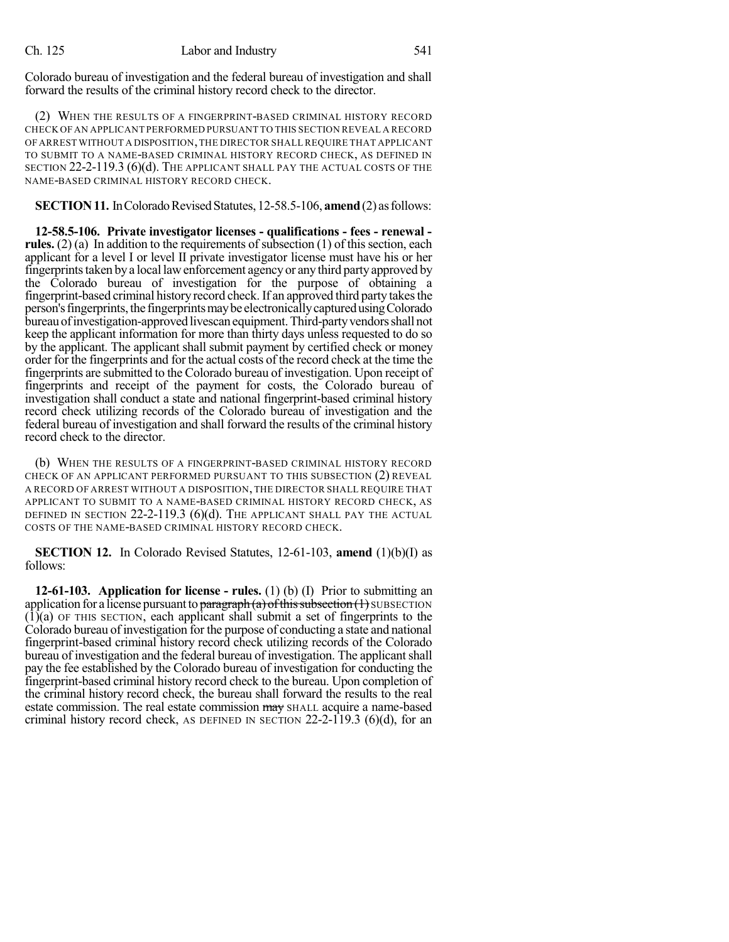Colorado bureau of investigation and the federal bureau of investigation and shall forward the results of the criminal history record check to the director.

(2) WHEN THE RESULTS OF A FINGERPRINT-BASED CRIMINAL HISTORY RECORD CHECK OF AN APPLICANT PERFORMED PURSUANT TO THIS SECTION REVEAL A RECORD OF ARREST WITHOUT A DISPOSITION,THE DIRECTOR SHALL REQUIRE THAT APPLICANT TO SUBMIT TO A NAME-BASED CRIMINAL HISTORY RECORD CHECK, AS DEFINED IN SECTION 22-2-119.3 (6)(d). THE APPLICANT SHALL PAY THE ACTUAL COSTS OF THE NAME-BASED CRIMINAL HISTORY RECORD CHECK.

**SECTION 11.** In Colorado Revised Statutes, 12-58.5-106, **amend** (2) as follows:

**12-58.5-106. Private investigator licenses - qualifications - fees - renewal rules.** (2) (a) In addition to the requirements of subsection (1) of this section, each applicant for a level I or level II private investigator license must have his or her fingerprints taken by a local law enforcement agency or any third party approved by the Colorado bureau of investigation for the purpose of obtaining a fingerprint-based criminal history record check. If an approved third party takes the person's fingerprints, the fingerprints may be electronically captured using Colorado bureau of investigation-approved livescan equipment. Third-party vendors shall not keep the applicant information for more than thirty days unless requested to do so by the applicant. The applicant shall submit payment by certified check or money order for the fingerprints and for the actual costs of the record check at the time the fingerprints are submitted to the Colorado bureau of investigation. Upon receipt of fingerprints and receipt of the payment for costs, the Colorado bureau of investigation shall conduct a state and national fingerprint-based criminal history record check utilizing records of the Colorado bureau of investigation and the federal bureau of investigation and shall forward the results of the criminal history record check to the director.

(b) WHEN THE RESULTS OF A FINGERPRINT-BASED CRIMINAL HISTORY RECORD CHECK OF AN APPLICANT PERFORMED PURSUANT TO THIS SUBSECTION (2) REVEAL A RECORD OF ARREST WITHOUT A DISPOSITION, THE DIRECTOR SHALL REQUIRE THAT APPLICANT TO SUBMIT TO A NAME-BASED CRIMINAL HISTORY RECORD CHECK, AS DEFINED IN SECTION 22-2-119.3 (6)(d). THE APPLICANT SHALL PAY THE ACTUAL COSTS OF THE NAME-BASED CRIMINAL HISTORY RECORD CHECK.

**SECTION 12.** In Colorado Revised Statutes, 12-61-103, **amend** (1)(b)(I) as follows:

**12-61-103. Application for license - rules.** (1) (b) (I) Prior to submitting an application for a license pursuant to paragraph (a) of this subsection  $(1)$  SUBSECTION  $(1)(a)$  OF THIS SECTION, each applicant shall submit a set of fingerprints to the Colorado bureau of investigation for the purpose of conducting a state and national fingerprint-based criminal history record check utilizing records of the Colorado bureau of investigation and the federal bureau of investigation. The applicantshall pay the fee established by the Colorado bureau of investigation for conducting the fingerprint-based criminal history record check to the bureau. Upon completion of the criminal history record check, the bureau shall forward the results to the real estate commission. The real estate commission may SHALL acquire a name-based criminal history record check, AS DEFINED IN SECTION  $22-2-119.3$  (6)(d), for an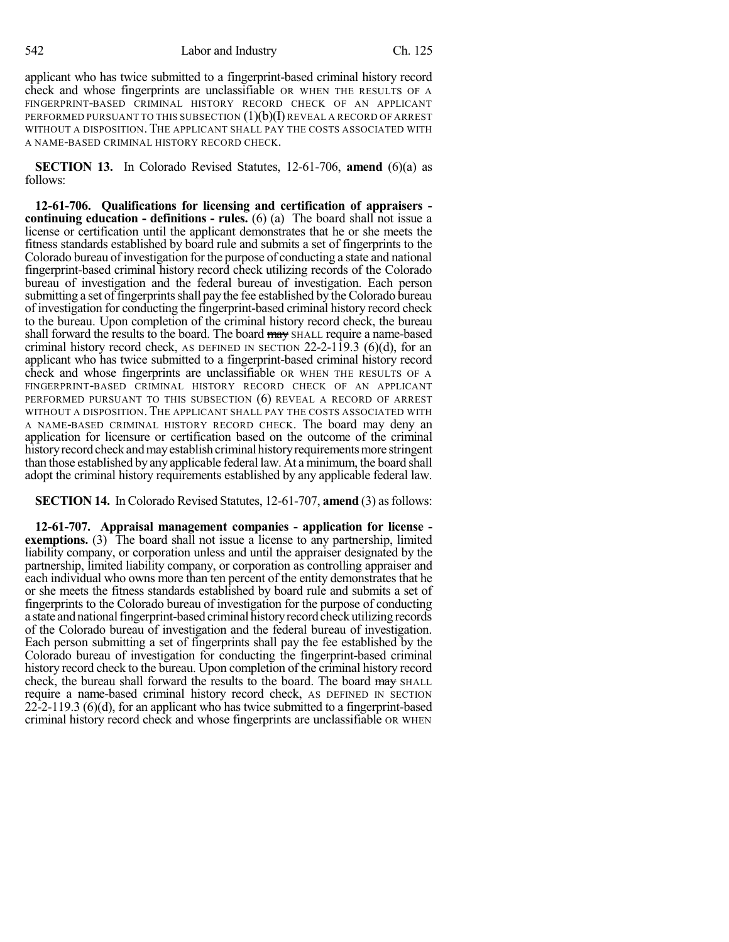applicant who has twice submitted to a fingerprint-based criminal history record check and whose fingerprints are unclassifiable OR WHEN THE RESULTS OF A FINGERPRINT-BASED CRIMINAL HISTORY RECORD CHECK OF AN APPLICANT PERFORMED PURSUANT TO THIS SUBSECTION  $(1)(b)(I)$  REVEAL A RECORD OF ARREST WITHOUT A DISPOSITION. THE APPLICANT SHALL PAY THE COSTS ASSOCIATED WITH A NAME-BASED CRIMINAL HISTORY RECORD CHECK.

**SECTION 13.** In Colorado Revised Statutes, 12-61-706, **amend** (6)(a) as follows:

**12-61-706. Qualifications for licensing and certification of appraisers continuing education - definitions - rules.** (6) (a) The board shall not issue a license or certification until the applicant demonstrates that he or she meets the fitness standards established by board rule and submits a set of fingerprints to the Colorado bureau of investigation for the purpose of conducting a state and national fingerprint-based criminal history record check utilizing records of the Colorado bureau of investigation and the federal bureau of investigation. Each person submitting a set of fingerprints shall pay the fee established by the Colorado bureau of investigation for conducting the fingerprint-based criminal history record check to the bureau. Upon completion of the criminal history record check, the bureau shall forward the results to the board. The board may SHALL require a name-based criminal history record check, AS DEFINED IN SECTION  $22-2-119.3$  (6)(d), for an applicant who has twice submitted to a fingerprint-based criminal history record check and whose fingerprints are unclassifiable OR WHEN THE RESULTS OF A FINGERPRINT-BASED CRIMINAL HISTORY RECORD CHECK OF AN APPLICANT PERFORMED PURSUANT TO THIS SUBSECTION (6) REVEAL A RECORD OF ARREST WITHOUT A DISPOSITION. THE APPLICANT SHALL PAY THE COSTS ASSOCIATED WITH A NAME-BASED CRIMINAL HISTORY RECORD CHECK. The board may deny an application for licensure or certification based on the outcome of the criminal history record check and may establish criminal history requirements more stringent than those established by any applicable federal law. At a minimum, the board shall adopt the criminal history requirements established by any applicable federal law.

**SECTION 14.** In Colorado Revised Statutes, 12-61-707, **amend** (3) as follows:

**12-61-707. Appraisal management companies - application for license exemptions.** (3) The board shall not issue a license to any partnership, limited liability company, or corporation unless and until the appraiser designated by the partnership, limited liability company, or corporation as controlling appraiser and each individual who owns more than ten percent of the entity demonstrates that he or she meets the fitness standards established by board rule and submits a set of fingerprints to the Colorado bureau of investigation for the purpose of conducting a state and national fingerprint-based criminal history record check utilizing records of the Colorado bureau of investigation and the federal bureau of investigation. Each person submitting a set of fingerprints shall pay the fee established by the Colorado bureau of investigation for conducting the fingerprint-based criminal history record check to the bureau. Upon completion of the criminal history record check, the bureau shall forward the results to the board. The board may SHALL require a name-based criminal history record check, AS DEFINED IN SECTION 22-2-119.3 (6)(d), for an applicant who has twice submitted to a fingerprint-based criminal history record check and whose fingerprints are unclassifiable OR WHEN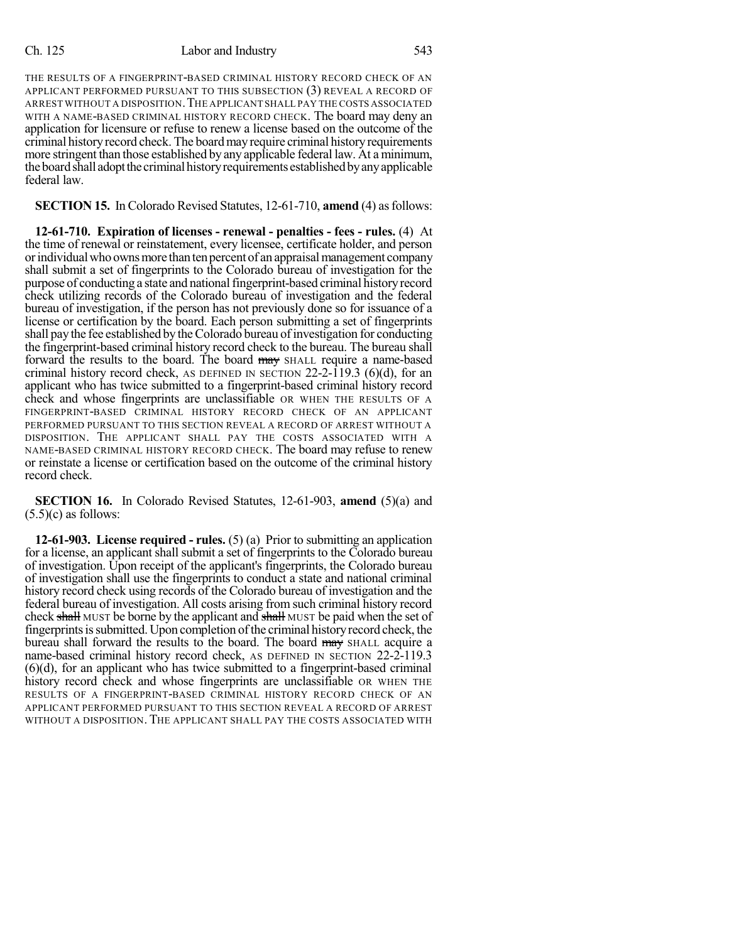### Ch. 125 Labor and Industry 543

THE RESULTS OF A FINGERPRINT-BASED CRIMINAL HISTORY RECORD CHECK OF AN APPLICANT PERFORMED PURSUANT TO THIS SUBSECTION (3) REVEAL A RECORD OF ARREST WITHOUT A DISPOSITION.THE APPLICANT SHALL PAY THE COSTS ASSOCIATED WITH A NAME-BASED CRIMINAL HISTORY RECORD CHECK. The board may deny an application for licensure or refuse to renew a license based on the outcome of the criminal history record check. The board may require criminal history requirements more stringent than those established by any applicable federal law. At a minimum, the board shall adopt the criminal history requirements established by any applicable federal law.

## **SECTION 15.** In Colorado Revised Statutes, 12-61-710, **amend** (4) as follows:

**12-61-710. Expiration of licenses - renewal - penalties - fees - rules.** (4) At the time of renewal or reinstatement, every licensee, certificate holder, and person orindividualwhoownsmore thantenpercent of an appraisalmanagement company shall submit a set of fingerprints to the Colorado bureau of investigation for the purpose of conducting a state and national fingerprint-based criminal history record check utilizing records of the Colorado bureau of investigation and the federal bureau of investigation, if the person has not previously done so for issuance of a license or certification by the board. Each person submitting a set of fingerprints shall pay the fee established by the Colorado bureau of investigation for conducting the fingerprint-based criminal history record check to the bureau. The bureau shall forward the results to the board. The board may SHALL require a name-based criminal history record check, AS DEFINED IN SECTION 22-2-119.3 (6)(d), for an applicant who has twice submitted to a fingerprint-based criminal history record check and whose fingerprints are unclassifiable OR WHEN THE RESULTS OF A FINGERPRINT-BASED CRIMINAL HISTORY RECORD CHECK OF AN APPLICANT PERFORMED PURSUANT TO THIS SECTION REVEAL A RECORD OF ARREST WITHOUT A DISPOSITION. THE APPLICANT SHALL PAY THE COSTS ASSOCIATED WITH A NAME-BASED CRIMINAL HISTORY RECORD CHECK. The board may refuse to renew or reinstate a license or certification based on the outcome of the criminal history record check.

**SECTION 16.** In Colorado Revised Statutes, 12-61-903, **amend** (5)(a) and  $(5.5)(c)$  as follows:

**12-61-903. License required - rules.** (5) (a) Prior to submitting an application for a license, an applicant shall submit a set of fingerprints to the Colorado bureau of investigation. Upon receipt of the applicant's fingerprints, the Colorado bureau of investigation shall use the fingerprints to conduct a state and national criminal history record check using records of the Colorado bureau of investigation and the federal bureau of investigation. All costs arising from such criminal history record check shall MUST be borne by the applicant and shall MUST be paid when the set of fingerprintsissubmitted. Upon completion ofthe criminal historyrecord check, the bureau shall forward the results to the board. The board may SHALL acquire a name-based criminal history record check, AS DEFINED IN SECTION 22-2-119.3 (6)(d), for an applicant who has twice submitted to a fingerprint-based criminal history record check and whose fingerprints are unclassifiable OR WHEN THE RESULTS OF A FINGERPRINT-BASED CRIMINAL HISTORY RECORD CHECK OF AN APPLICANT PERFORMED PURSUANT TO THIS SECTION REVEAL A RECORD OF ARREST WITHOUT A DISPOSITION. THE APPLICANT SHALL PAY THE COSTS ASSOCIATED WITH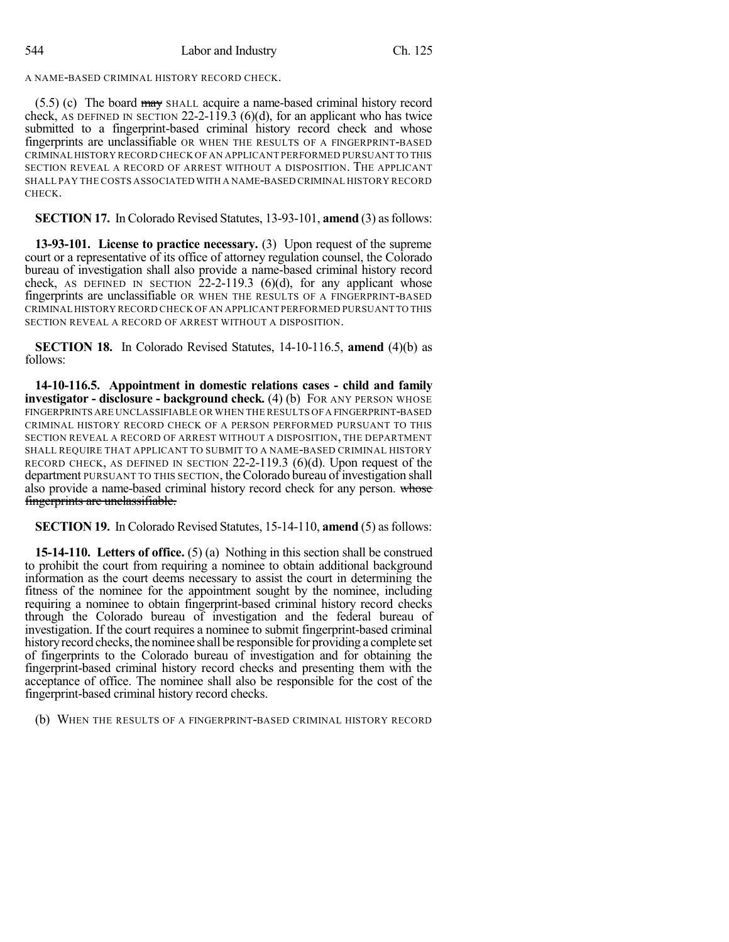A NAME-BASED CRIMINAL HISTORY RECORD CHECK.

 $(5.5)$  (c) The board  $\frac{may}{may}$  SHALL acquire a name-based criminal history record check, AS DEFINED IN SECTION 22-2-119.3 (6)(d), for an applicant who has twice submitted to a fingerprint-based criminal history record check and whose fingerprints are unclassifiable OR WHEN THE RESULTS OF A FINGERPRINT-BASED CRIMINAL HISTORY RECORD CHECK OF AN APPLICANT PERFORMED PURSUANT TO THIS SECTION REVEAL A RECORD OF ARREST WITHOUT A DISPOSITION. THE APPLICANT SHALL PAY THE COSTS ASSOCIATED WITH A NAME-BASED CRIMINAL HISTORY RECORD CHECK.

**SECTION 17.** In Colorado Revised Statutes, 13-93-101, **amend** (3) as follows:

**13-93-101. License to practice necessary.** (3) Upon request of the supreme court or a representative of its office of attorney regulation counsel, the Colorado bureau of investigation shall also provide a name-based criminal history record check, AS DEFINED IN SECTION  $22-2-119.3$  (6)(d), for any applicant whose fingerprints are unclassifiable OR WHEN THE RESULTS OF A FINGERPRINT-BASED CRIMINAL HISTORY RECORD CHECK OF AN APPLICANT PERFORMED PURSUANT TO THIS SECTION REVEAL A RECORD OF ARREST WITHOUT A DISPOSITION.

**SECTION 18.** In Colorado Revised Statutes, 14-10-116.5, **amend** (4)(b) as follows:

**14-10-116.5. Appointment in domestic relations cases - child and family investigator - disclosure - background check.** (4) (b) FOR ANY PERSON WHOSE FINGERPRINTS ARE UNCLASSIFIABLE OR WHEN THE RESULTS OFA FINGERPRINT-BASED CRIMINAL HISTORY RECORD CHECK OF A PERSON PERFORMED PURSUANT TO THIS SECTION REVEAL A RECORD OF ARREST WITHOUT A DISPOSITION, THE DEPARTMENT SHALL REQUIRE THAT APPLICANT TO SUBMIT TO A NAME-BASED CRIMINAL HISTORY RECORD CHECK, AS DEFINED IN SECTION 22-2-119.3 (6)(d). Upon request of the department PURSUANT TO THIS SECTION, the Colorado bureau of investigation shall also provide a name-based criminal history record check for any person. whose fingerprints are unclassifiable.

**SECTION 19.** In Colorado Revised Statutes, 15-14-110, **amend** (5) asfollows:

**15-14-110. Letters of office.** (5) (a) Nothing in this section shall be construed to prohibit the court from requiring a nominee to obtain additional background information as the court deems necessary to assist the court in determining the fitness of the nominee for the appointment sought by the nominee, including requiring a nominee to obtain fingerprint-based criminal history record checks through the Colorado bureau of investigation and the federal bureau of investigation. If the court requires a nominee to submit fingerprint-based criminal history record checks, the nominee shall be responsible for providing a complete set of fingerprints to the Colorado bureau of investigation and for obtaining the fingerprint-based criminal history record checks and presenting them with the acceptance of office. The nominee shall also be responsible for the cost of the fingerprint-based criminal history record checks.

(b) WHEN THE RESULTS OF A FINGERPRINT-BASED CRIMINAL HISTORY RECORD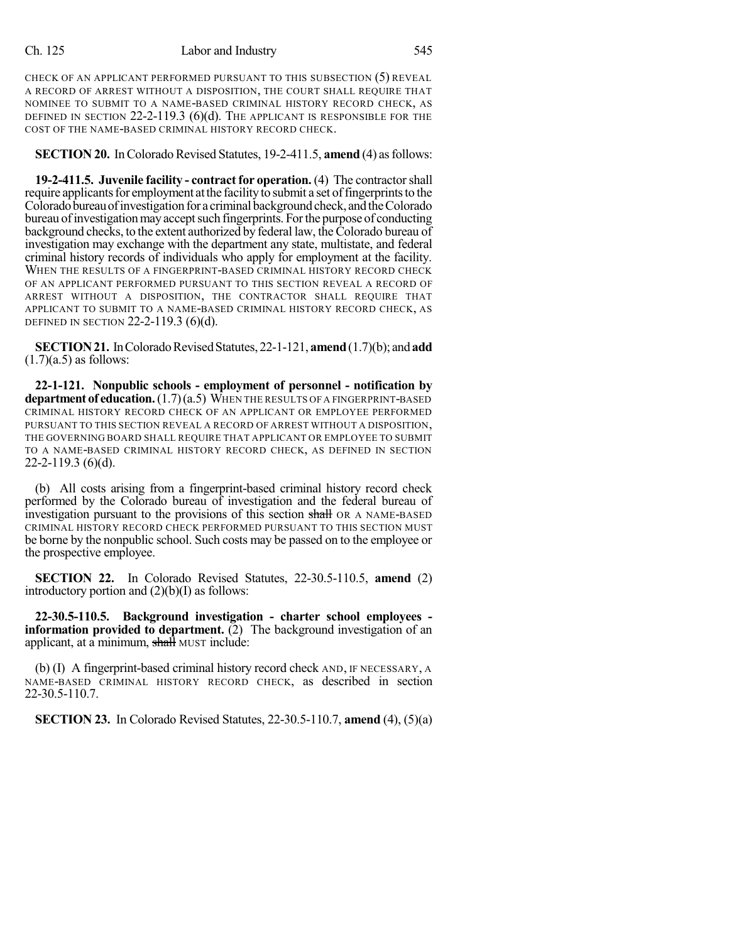CHECK OF AN APPLICANT PERFORMED PURSUANT TO THIS SUBSECTION (5) REVEAL A RECORD OF ARREST WITHOUT A DISPOSITION, THE COURT SHALL REQUIRE THAT NOMINEE TO SUBMIT TO A NAME-BASED CRIMINAL HISTORY RECORD CHECK, AS DEFINED IN SECTION 22-2-119.3 (6)(d). THE APPLICANT IS RESPONSIBLE FOR THE COST OF THE NAME-BASED CRIMINAL HISTORY RECORD CHECK.

**SECTION 20.** In Colorado Revised Statutes, 19-2-411.5, **amend** (4) as follows:

**19-2-411.5. Juvenile facility - contractfor operation.** (4) The contractorshall require applicants for employment at the facility to submit a set of fingerprints to the Colorado bureau of investigation for a criminal background check, and the Colorado bureau of investigation may accept such fingerprints. For the purpose of conducting background checks, to the extent authorized by federal law, the Colorado bureau of investigation may exchange with the department any state, multistate, and federal criminal history records of individuals who apply for employment at the facility. WHEN THE RESULTS OF A FINGERPRINT-BASED CRIMINAL HISTORY RECORD CHECK OF AN APPLICANT PERFORMED PURSUANT TO THIS SECTION REVEAL A RECORD OF ARREST WITHOUT A DISPOSITION, THE CONTRACTOR SHALL REQUIRE THAT APPLICANT TO SUBMIT TO A NAME-BASED CRIMINAL HISTORY RECORD CHECK, AS DEFINED IN SECTION 22-2-119.3 (6)(d).

**SECTION 21.** In Colorado Revised Statutes, 22-1-121, **amend** (1.7)(b); and **add**  $(1.7)(a.5)$  as follows:

**22-1-121. Nonpublic schools - employment of personnel - notification by department of education.**(1.7)(a.5) WHEN THE RESULTS OF A FINGERPRINT-BASED CRIMINAL HISTORY RECORD CHECK OF AN APPLICANT OR EMPLOYEE PERFORMED PURSUANT TO THIS SECTION REVEAL A RECORD OF ARREST WITHOUT A DISPOSITION, THE GOVERNING BOARD SHALL REQUIRE THAT APPLICANT OR EMPLOYEE TO SUBMIT TO A NAME-BASED CRIMINAL HISTORY RECORD CHECK, AS DEFINED IN SECTION 22-2-119.3 (6)(d).

(b) All costs arising from a fingerprint-based criminal history record check performed by the Colorado bureau of investigation and the federal bureau of investigation pursuant to the provisions of this section shall OR A NAME-BASED CRIMINAL HISTORY RECORD CHECK PERFORMED PURSUANT TO THIS SECTION MUST be borne by the nonpublic school. Such costs may be passed on to the employee or the prospective employee.

**SECTION 22.** In Colorado Revised Statutes, 22-30.5-110.5, **amend** (2) introductory portion and  $(2)(b)(I)$  as follows:

**22-30.5-110.5. Background investigation - charter school employees information provided to department.** (2) The background investigation of an applicant, at a minimum, shall MUST include:

(b) (I) A fingerprint-based criminal history record check AND, IF NECESSARY, A NAME-BASED CRIMINAL HISTORY RECORD CHECK, as described in section 22-30.5-110.7.

**SECTION 23.** In Colorado Revised Statutes, 22-30.5-110.7, **amend** (4), (5)(a)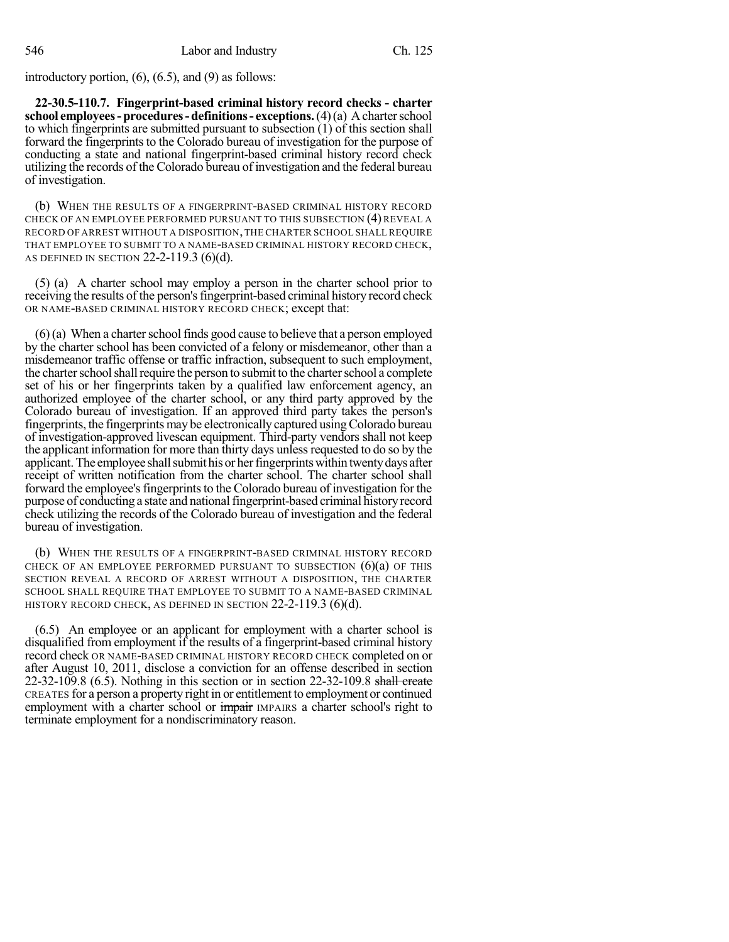introductory portion,  $(6)$ ,  $(6.5)$ , and  $(9)$  as follows:

**22-30.5-110.7. Fingerprint-based criminal history record checks - charter school employees-procedures-definitions- exceptions.**(4)(a) Acharterschool to which fingerprints are submitted pursuant to subsection (1) of this section shall forward the fingerprints to the Colorado bureau of investigation for the purpose of conducting a state and national fingerprint-based criminal history record check utilizing the records of the Colorado bureau of investigation and the federal bureau of investigation.

(b) WHEN THE RESULTS OF A FINGERPRINT-BASED CRIMINAL HISTORY RECORD CHECK OF AN EMPLOYEE PERFORMED PURSUANT TO THIS SUBSECTION (4) REVEAL A RECORD OF ARREST WITHOUT A DISPOSITION,THE CHARTER SCHOOL SHALL REQUIRE THAT EMPLOYEE TO SUBMIT TO A NAME-BASED CRIMINAL HISTORY RECORD CHECK, AS DEFINED IN SECTION 22-2-119.3 (6)(d).

(5) (a) A charter school may employ a person in the charter school prior to receiving the results of the person'sfingerprint-based criminal history record check OR NAME-BASED CRIMINAL HISTORY RECORD CHECK; except that:

 $(6)$  (a) When a charter school finds good cause to believe that a person employed by the charter school has been convicted of a felony or misdemeanor, other than a misdemeanor traffic offense or traffic infraction, subsequent to such employment, the charter school shall require the person to submit to the charter school a complete set of his or her fingerprints taken by a qualified law enforcement agency, an authorized employee of the charter school, or any third party approved by the Colorado bureau of investigation. If an approved third party takes the person's fingerprints, the fingerprints may be electronically captured using Colorado bureau of investigation-approved livescan equipment. Third-party vendors shall not keep the applicant information for more than thirty days unless requested to do so by the applicant. The employee shall submit his or her fingerprints within twenty days after receipt of written notification from the charter school. The charter school shall forward the employee's fingerprints to the Colorado bureau of investigation for the purpose of conducting a state and nationalfingerprint-based criminal historyrecord check utilizing the records of the Colorado bureau of investigation and the federal bureau of investigation.

(b) WHEN THE RESULTS OF A FINGERPRINT-BASED CRIMINAL HISTORY RECORD CHECK OF AN EMPLOYEE PERFORMED PURSUANT TO SUBSECTION  $(6)(a)$  OF THIS SECTION REVEAL A RECORD OF ARREST WITHOUT A DISPOSITION, THE CHARTER SCHOOL SHALL REQUIRE THAT EMPLOYEE TO SUBMIT TO A NAME-BASED CRIMINAL HISTORY RECORD CHECK, AS DEFINED IN SECTION 22-2-119.3 (6)(d).

(6.5) An employee or an applicant for employment with a charter school is disqualified from employment if the results of a fingerprint-based criminal history record check OR NAME-BASED CRIMINAL HISTORY RECORD CHECK completed on or after August 10, 2011, disclose a conviction for an offense described in section  $22-32-109.8$  (6.5). Nothing in this section or in section  $22-32-109.8$  shall create CREATES for a person a property right in or entitlement to employment or continued employment with a charter school or impair IMPAIRS a charter school's right to terminate employment for a nondiscriminatory reason.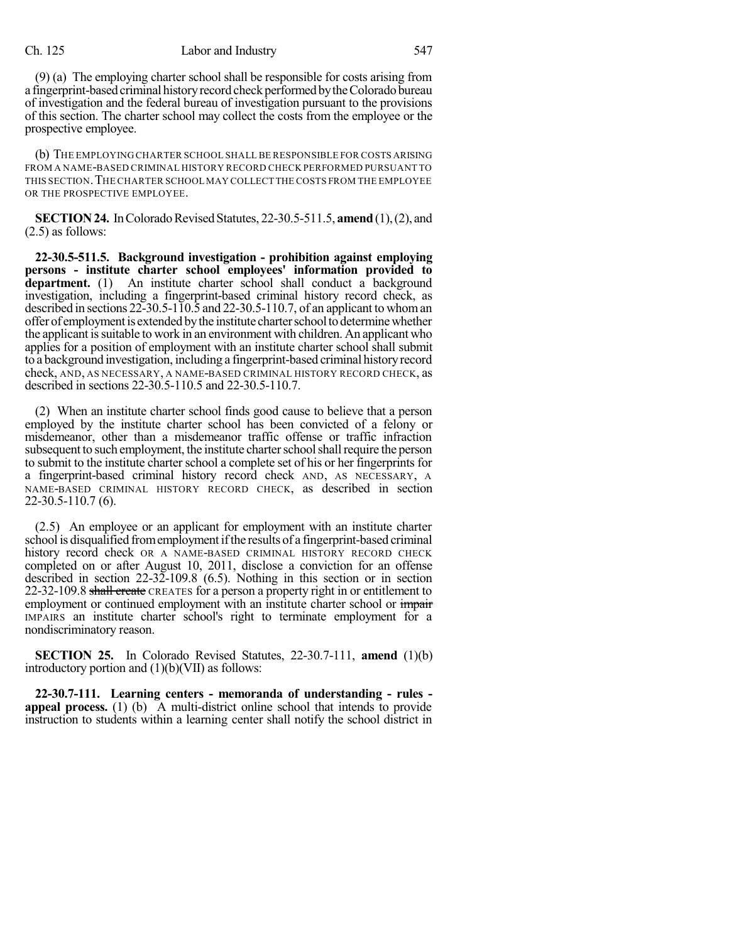### Ch. 125 Labor and Industry 547

(9) (a) The employing charter school shall be responsible for costs arising from a fingerprint-based criminal history record check performed by the Colorado bureau of investigation and the federal bureau of investigation pursuant to the provisions of this section. The charter school may collect the costs from the employee or the prospective employee.

(b) THE EMPLOYING CHARTER SCHOOL SHALL BE RESPONSIBLE FOR COSTS ARISING FROM A NAME-BASED CRIMINAL HISTORY RECORD CHECK PERFORMED PURSUANT TO THIS SECTION.THE CHARTER SCHOOL MAY COLLECT THE COSTS FROM THE EMPLOYEE OR THE PROSPECTIVE EMPLOYEE.

**SECTION 24.** In Colorado Revised Statutes, 22-30.5-511.5, **amend** (1), (2), and (2.5) as follows:

**22-30.5-511.5. Background investigation - prohibition against employing persons - institute charter school employees' information provided to** department. (1) An institute charter school shall conduct a background investigation, including a fingerprint-based criminal history record check, as described in sections 22-30.5-110.5 and 22-30.5-110.7, of an applicant to whoman offer of employment is extended by the institute charter school to determine whether the applicant issuitable to work in an environment with children. An applicant who applies for a position of employment with an institute charter school shall submit to a background investigation, including a fingerprint-based criminal historyrecord check, AND, AS NECESSARY, A NAME-BASED CRIMINAL HISTORY RECORD CHECK, as described in sections 22-30.5-110.5 and 22-30.5-110.7.

(2) When an institute charter school finds good cause to believe that a person employed by the institute charter school has been convicted of a felony or misdemeanor, other than a misdemeanor traffic offense or traffic infraction subsequent to such employment, the institute charter school shall require the person to submit to the institute charter school a complete set of his or her fingerprints for a fingerprint-based criminal history record check AND, AS NECESSARY, A NAME-BASED CRIMINAL HISTORY RECORD CHECK, as described in section 22-30.5-110.7 (6).

(2.5) An employee or an applicant for employment with an institute charter school is disqualified fromemploymentifthe results of a fingerprint-based criminal history record check OR A NAME-BASED CRIMINAL HISTORY RECORD CHECK completed on or after August 10, 2011, disclose a conviction for an offense described in section 22-32-109.8 (6.5). Nothing in this section or in section 22-32-109.8 shall create CREATES for a person a property right in or entitlement to employment or continued employment with an institute charter school or *impair* IMPAIRS an institute charter school's right to terminate employment for a nondiscriminatory reason.

**SECTION 25.** In Colorado Revised Statutes, 22-30.7-111, **amend** (1)(b) introductory portion and  $(1)(b)(VII)$  as follows:

**22-30.7-111. Learning centers - memoranda of understanding - rules appeal process.** (1) (b) A multi-district online school that intends to provide instruction to students within a learning center shall notify the school district in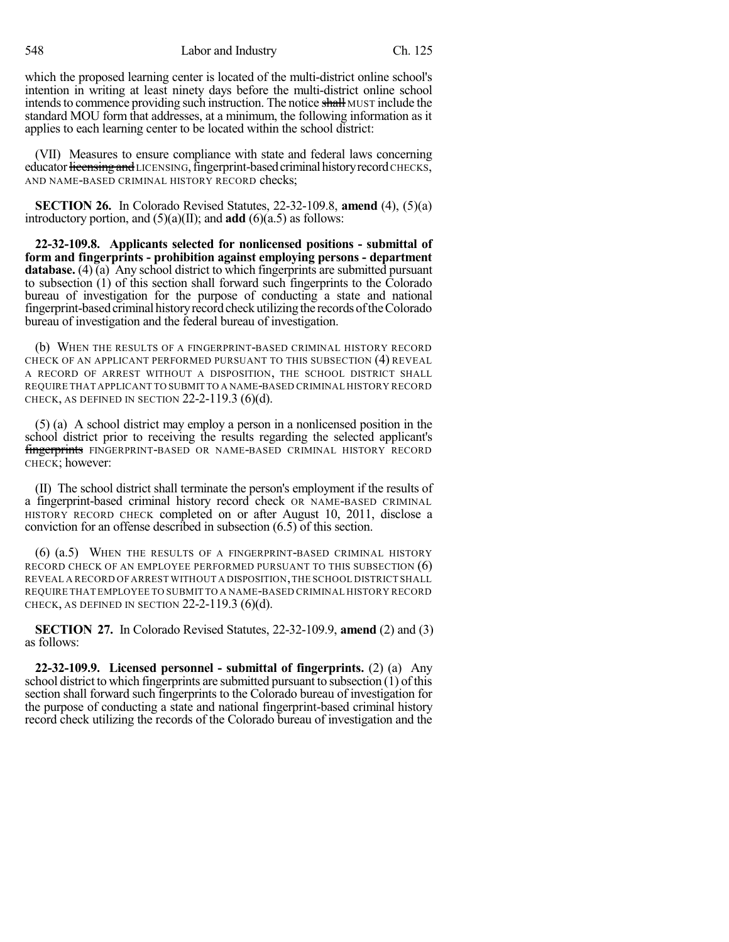548 Labor and Industry Ch. 125

which the proposed learning center is located of the multi-district online school's intention in writing at least ninety days before the multi-district online school intends to commence providing such instruction. The notice shall MUST include the standard MOU form that addresses, at a minimum, the following information as it applies to each learning center to be located within the school district:

(VII) Measures to ensure compliance with state and federal laws concerning educator licensing and LICENSING, fingerprint-based criminal history record CHECKS, AND NAME-BASED CRIMINAL HISTORY RECORD checks;

**SECTION 26.** In Colorado Revised Statutes, 22-32-109.8, **amend** (4), (5)(a) introductory portion, and  $(5)(a)(II)$ ; and **add**  $(6)(a.5)$  as follows:

**22-32-109.8. Applicants selected for nonlicensed positions - submittal of form and fingerprints - prohibition against employing persons - department database.** (4) (a) Any school district to which fingerprints are submitted pursuant to subsection (1) of this section shall forward such fingerprints to the Colorado bureau of investigation for the purpose of conducting a state and national fingerprint-based criminal history record check utilizing the records of the Colorado bureau of investigation and the federal bureau of investigation.

(b) WHEN THE RESULTS OF A FINGERPRINT-BASED CRIMINAL HISTORY RECORD CHECK OF AN APPLICANT PERFORMED PURSUANT TO THIS SUBSECTION (4) REVEAL A RECORD OF ARREST WITHOUT A DISPOSITION, THE SCHOOL DISTRICT SHALL REQUIRE THAT APPLICANT TO SUBMIT TO A NAME-BASED CRIMINAL HISTORY RECORD CHECK, AS DEFINED IN SECTION  $22-2-119.3$  (6)(d).

(5) (a) A school district may employ a person in a nonlicensed position in the school district prior to receiving the results regarding the selected applicant's fingerprints FINGERPRINT-BASED OR NAME-BASED CRIMINAL HISTORY RECORD CHECK; however:

(II) The school district shall terminate the person's employment if the results of a fingerprint-based criminal history record check OR NAME-BASED CRIMINAL HISTORY RECORD CHECK completed on or after August 10, 2011, disclose a conviction for an offense described in subsection (6.5) of this section.

(6) (a.5) WHEN THE RESULTS OF A FINGERPRINT-BASED CRIMINAL HISTORY RECORD CHECK OF AN EMPLOYEE PERFORMED PURSUANT TO THIS SUBSECTION (6) REVEAL A RECORD OF ARREST WITHOUT A DISPOSITION,THE SCHOOL DISTRICT SHALL REQUIRE THAT EMPLOYEE TO SUBMIT TO A NAME-BASED CRIMINAL HISTORY RECORD CHECK, AS DEFINED IN SECTION  $22-2-119.3$  (6)(d).

**SECTION 27.** In Colorado Revised Statutes, 22-32-109.9, **amend** (2) and (3) as follows:

**22-32-109.9. Licensed personnel - submittal of fingerprints.** (2) (a) Any school district to which fingerprints are submitted pursuant to subsection (1) of this section shall forward such fingerprints to the Colorado bureau of investigation for the purpose of conducting a state and national fingerprint-based criminal history record check utilizing the records of the Colorado bureau of investigation and the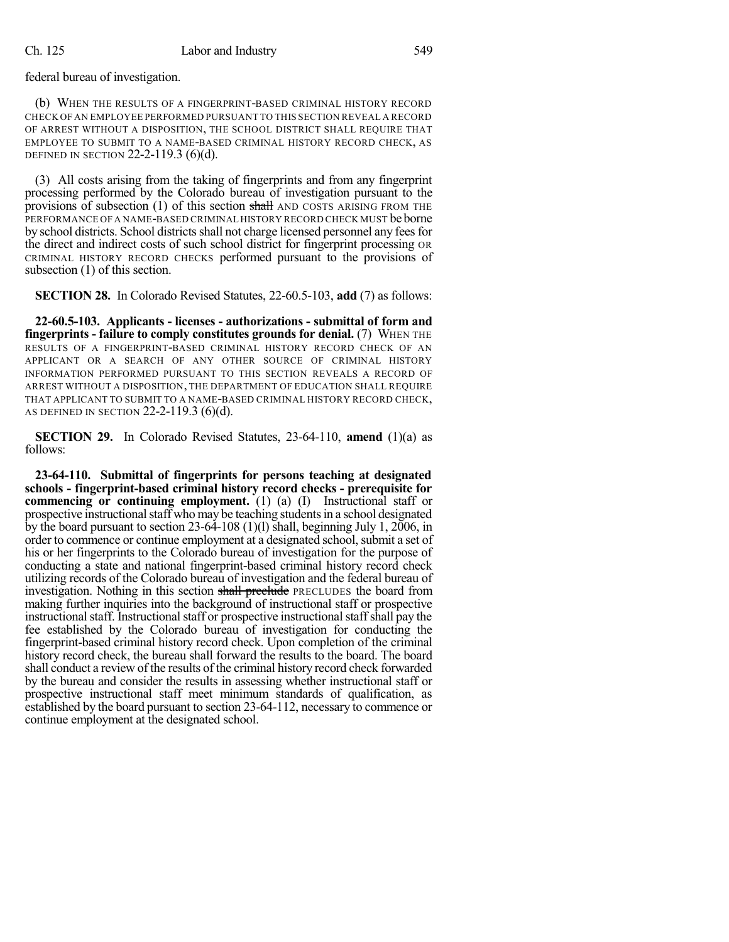federal bureau of investigation.

(b) WHEN THE RESULTS OF A FINGERPRINT-BASED CRIMINAL HISTORY RECORD CHECK OF AN EMPLOYEE PERFORMED PURSUANT TO THIS SECTION REVEAL A RECORD OF ARREST WITHOUT A DISPOSITION, THE SCHOOL DISTRICT SHALL REQUIRE THAT EMPLOYEE TO SUBMIT TO A NAME-BASED CRIMINAL HISTORY RECORD CHECK, AS DEFINED IN SECTION 22-2-119.3 (6)(d).

(3) All costs arising from the taking of fingerprints and from any fingerprint processing performed by the Colorado bureau of investigation pursuant to the provisions of subsection (1) of this section shall AND COSTS ARISING FROM THE PERFORMANCE OF A NAME-BASED CRIMINAL HISTORY RECORD CHECK MUST be borne by school districts. School districts shall not charge licensed personnel any fees for the direct and indirect costs of such school district for fingerprint processing OR CRIMINAL HISTORY RECORD CHECKS performed pursuant to the provisions of subsection (1) of this section.

**SECTION 28.** In Colorado Revised Statutes, 22-60.5-103, **add** (7) as follows:

**22-60.5-103. Applicants - licenses - authorizations - submittal of form and fingerprints - failure to comply constitutes grounds for denial.** (7) WHEN THE RESULTS OF A FINGERPRINT-BASED CRIMINAL HISTORY RECORD CHECK OF AN APPLICANT OR A SEARCH OF ANY OTHER SOURCE OF CRIMINAL HISTORY INFORMATION PERFORMED PURSUANT TO THIS SECTION REVEALS A RECORD OF ARREST WITHOUT A DISPOSITION, THE DEPARTMENT OF EDUCATION SHALL REQUIRE THAT APPLICANT TO SUBMIT TO A NAME-BASED CRIMINAL HISTORY RECORD CHECK, AS DEFINED IN SECTION 22-2-119.3 (6)(d).

**SECTION 29.** In Colorado Revised Statutes, 23-64-110, **amend** (1)(a) as follows:

**23-64-110. Submittal of fingerprints for persons teaching at designated schools - fingerprint-based criminal history record checks - prerequisite for commencing or continuing employment.** (1) (a) (I) Instructional staff or prospective instructional staff who may be teaching students in a school designated by the board pursuant to section  $23-64-108(1)(1)$  shall, beginning July 1,  $2006$ , in order to commence or continue employment at a designated school, submit a set of his or her fingerprints to the Colorado bureau of investigation for the purpose of conducting a state and national fingerprint-based criminal history record check utilizing records of the Colorado bureau of investigation and the federal bureau of investigation. Nothing in this section shall preclude PRECLUDES the board from making further inquiries into the background of instructional staff or prospective instructional staff. Instructional staff or prospective instructional staff shall pay the fee established by the Colorado bureau of investigation for conducting the fingerprint-based criminal history record check. Upon completion of the criminal history record check, the bureau shall forward the results to the board. The board shall conduct a review of the results of the criminal history record check forwarded by the bureau and consider the results in assessing whether instructional staff or prospective instructional staff meet minimum standards of qualification, as established by the board pursuant to section 23-64-112, necessary to commence or continue employment at the designated school.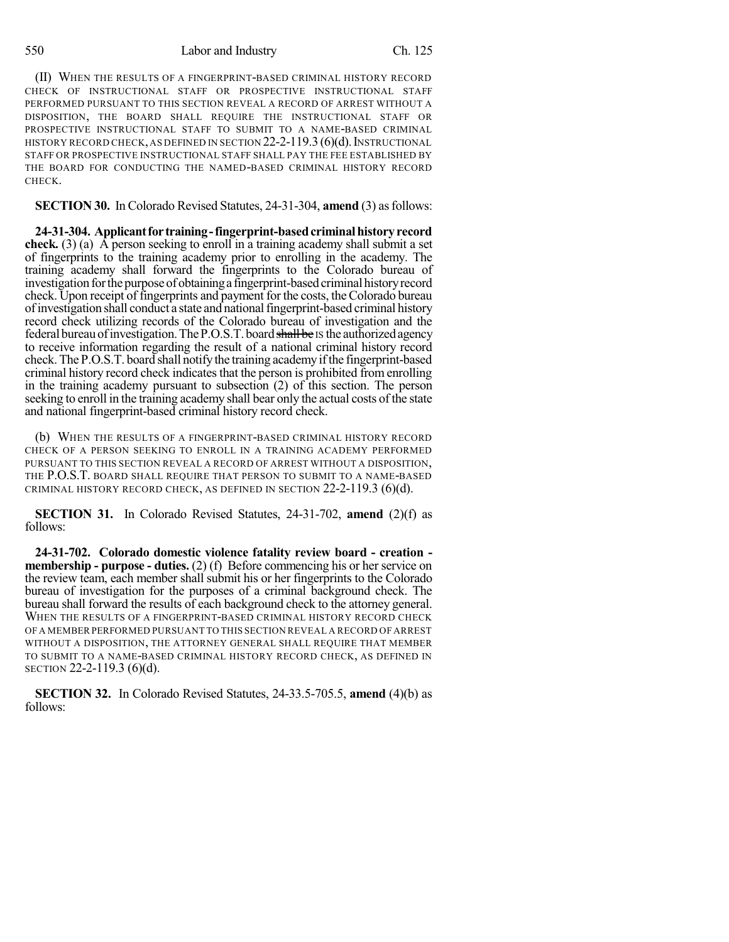550 Labor and Industry Ch. 125

(II) WHEN THE RESULTS OF A FINGERPRINT-BASED CRIMINAL HISTORY RECORD CHECK OF INSTRUCTIONAL STAFF OR PROSPECTIVE INSTRUCTIONAL STAFF PERFORMED PURSUANT TO THIS SECTION REVEAL A RECORD OF ARREST WITHOUT A DISPOSITION, THE BOARD SHALL REQUIRE THE INSTRUCTIONAL STAFF OR PROSPECTIVE INSTRUCTIONAL STAFF TO SUBMIT TO A NAME-BASED CRIMINAL HISTORY RECORD CHECK, AS DEFINED IN SECTION 22-2-119.3 (6)(d). INSTRUCTIONAL STAFF OR PROSPECTIVE INSTRUCTIONAL STAFF SHALL PAY THE FEE ESTABLISHED BY THE BOARD FOR CONDUCTING THE NAMED-BASED CRIMINAL HISTORY RECORD CHECK.

**SECTION 30.** In Colorado Revised Statutes, 24-31-304, **amend** (3) as follows:

**24-31-304. Applicantfor training-fingerprint-basedcriminalhistoryrecord check.** (3) (a) A person seeking to enroll in a training academy shall submit a set of fingerprints to the training academy prior to enrolling in the academy. The training academy shall forward the fingerprints to the Colorado bureau of investigation for the purpose of obtaining a fingerprint-based criminal history record check. Upon receipt of fingerprints and payment for the costs, the Colorado bureau ofinvestigation shall conduct a state and nationalfingerprint-based criminal history record check utilizing records of the Colorado bureau of investigation and the federal bureau of investigation. The P.O.S.T. board shall be IS the authorized agency to receive information regarding the result of a national criminal history record check. The P.O.S.T. board shall notify the training academy if the fingerprint-based criminal history record check indicatesthat the person is prohibited from enrolling in the training academy pursuant to subsection (2) of this section. The person seeking to enroll in the training academy shall bear only the actual costs of the state and national fingerprint-based criminal history record check.

(b) WHEN THE RESULTS OF A FINGERPRINT-BASED CRIMINAL HISTORY RECORD CHECK OF A PERSON SEEKING TO ENROLL IN A TRAINING ACADEMY PERFORMED PURSUANT TO THIS SECTION REVEAL A RECORD OF ARREST WITHOUT A DISPOSITION, THE P.O.S.T. BOARD SHALL REQUIRE THAT PERSON TO SUBMIT TO A NAME-BASED CRIMINAL HISTORY RECORD CHECK, AS DEFINED IN SECTION  $22-2-119.3$  (6)(d).

**SECTION 31.** In Colorado Revised Statutes, 24-31-702, **amend** (2)(f) as follows:

**24-31-702. Colorado domestic violence fatality review board - creation membership - purpose - duties.** (2) (f) Before commencing his or her service on the review team, each member shall submit his or her fingerprints to the Colorado bureau of investigation for the purposes of a criminal background check. The bureau shall forward the results of each background check to the attorney general. WHEN THE RESULTS OF A FINGERPRINT-BASED CRIMINAL HISTORY RECORD CHECK OF A MEMBER PERFORMED PURSUANT TO THIS SECTION REVEAL A RECORD OF ARREST WITHOUT A DISPOSITION, THE ATTORNEY GENERAL SHALL REQUIRE THAT MEMBER TO SUBMIT TO A NAME-BASED CRIMINAL HISTORY RECORD CHECK, AS DEFINED IN SECTION 22-2-119.3 (6)(d).

**SECTION 32.** In Colorado Revised Statutes, 24-33.5-705.5, **amend** (4)(b) as follows: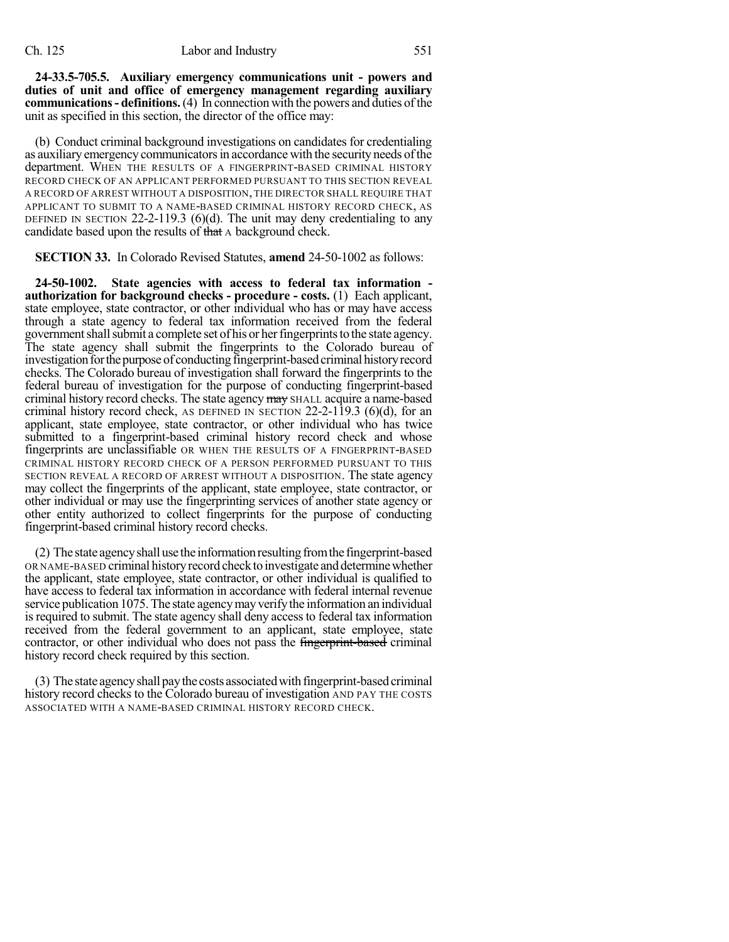**24-33.5-705.5. Auxiliary emergency communications unit - powers and duties of unit and office of emergency management regarding auxiliary communications- definitions.**(4) In connection with the powers and duties ofthe unit as specified in this section, the director of the office may:

(b) Conduct criminal background investigations on candidates for credentialing as auxiliary emergency communicatorsin accordance with the security needs ofthe department. WHEN THE RESULTS OF A FINGERPRINT-BASED CRIMINAL HISTORY RECORD CHECK OF AN APPLICANT PERFORMED PURSUANT TO THIS SECTION REVEAL A RECORD OF ARREST WITHOUT A DISPOSITION, THE DIRECTOR SHALL REQUIRE THAT APPLICANT TO SUBMIT TO A NAME-BASED CRIMINAL HISTORY RECORD CHECK, AS DEFINED IN SECTION 22-2-119.3 (6)(d). The unit may deny credentialing to any candidate based upon the results of that A background check.

**SECTION 33.** In Colorado Revised Statutes, **amend** 24-50-1002 as follows:

**24-50-1002. State agencies with access to federal tax information authorization for background checks - procedure - costs.** (1) Each applicant, state employee, state contractor, or other individual who has or may have access through a state agency to federal tax information received from the federal government shall submit a complete set of his or her fingerprints to the state agency. The state agency shall submit the fingerprints to the Colorado bureau of investigation for the purpose of conducting fingerprint-based criminal history record checks. The Colorado bureau of investigation shall forward the fingerprints to the federal bureau of investigation for the purpose of conducting fingerprint-based criminal history record checks. The state agency may SHALL acquire a name-based criminal history record check, AS DEFINED IN SECTION  $22-2-119.3$  (6)(d), for an applicant, state employee, state contractor, or other individual who has twice submitted to a fingerprint-based criminal history record check and whose fingerprints are unclassifiable OR WHEN THE RESULTS OF A FINGERPRINT-BASED CRIMINAL HISTORY RECORD CHECK OF A PERSON PERFORMED PURSUANT TO THIS SECTION REVEAL A RECORD OF ARREST WITHOUT A DISPOSITION. The state agency may collect the fingerprints of the applicant, state employee, state contractor, or other individual or may use the fingerprinting services of another state agency or other entity authorized to collect fingerprints for the purpose of conducting fingerprint-based criminal history record checks.

(2) The state agencyshall use the informationresultingfromthe fingerprint-based OR NAME-BASED criminal history record check to investigate and determine whether the applicant, state employee, state contractor, or other individual is qualified to have access to federal tax information in accordance with federal internal revenue service publication 1075. The state agency may verify the information an individual is required to submit. The state agency shall deny access to federal tax information received from the federal government to an applicant, state employee, state contractor, or other individual who does not pass the fingerprint-based criminal history record check required by this section.

(3) The state agency shall pay the costs associated with fingerprint-based criminal history record checks to the Colorado bureau of investigation AND PAY THE COSTS ASSOCIATED WITH A NAME-BASED CRIMINAL HISTORY RECORD CHECK.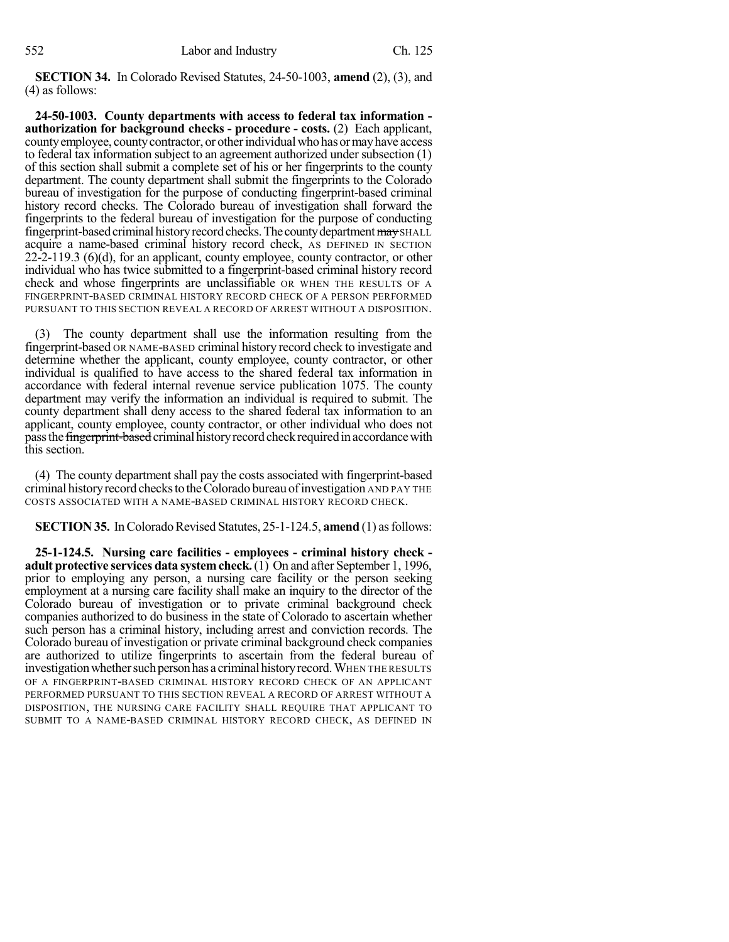**SECTION 34.** In Colorado Revised Statutes, 24-50-1003, **amend** (2), (3), and (4) as follows:

**24-50-1003. County departments with access to federal tax information authorization for background checks - procedure - costs.** (2) Each applicant, county employee, county contractor, or other individual who has or may have access to federal tax information subject to an agreement authorized under subsection (1) of this section shall submit a complete set of his or her fingerprints to the county department. The county department shall submit the fingerprints to the Colorado bureau of investigation for the purpose of conducting fingerprint-based criminal history record checks. The Colorado bureau of investigation shall forward the fingerprints to the federal bureau of investigation for the purpose of conducting fingerprint-based criminal history record checks. The county department may SHALL acquire a name-based criminal history record check, AS DEFINED IN SECTION  $22-2-119.3$  (6)(d), for an applicant, county employee, county contractor, or other individual who has twice submitted to a fingerprint-based criminal history record check and whose fingerprints are unclassifiable OR WHEN THE RESULTS OF A FINGERPRINT-BASED CRIMINAL HISTORY RECORD CHECK OF A PERSON PERFORMED PURSUANT TO THIS SECTION REVEAL A RECORD OF ARREST WITHOUT A DISPOSITION.

(3) The county department shall use the information resulting from the fingerprint-based OR NAME-BASED criminal history record check to investigate and determine whether the applicant, county employee, county contractor, or other individual is qualified to have access to the shared federal tax information in accordance with federal internal revenue service publication 1075. The county department may verify the information an individual is required to submit. The county department shall deny access to the shared federal tax information to an applicant, county employee, county contractor, or other individual who does not pass the *fingerprint-based* criminal history record check required in accordance with this section.

(4) The county department shall pay the costs associated with fingerprint-based criminal historyrecord checksto theColorado bureau ofinvestigation AND PAY THE COSTS ASSOCIATED WITH A NAME-BASED CRIMINAL HISTORY RECORD CHECK.

**SECTION 35.** In Colorado Revised Statutes, 25-1-124.5, **amend** (1) as follows:

**25-1-124.5. Nursing care facilities - employees - criminal history check adult protective services data systemcheck.**(1) On and after September 1, 1996, prior to employing any person, a nursing care facility or the person seeking employment at a nursing care facility shall make an inquiry to the director of the Colorado bureau of investigation or to private criminal background check companies authorized to do business in the state of Colorado to ascertain whether such person has a criminal history, including arrest and conviction records. The Colorado bureau of investigation or private criminal background check companies are authorized to utilize fingerprints to ascertain from the federal bureau of investigation whether such person has a criminal history record. WHEN THE RESULTS OF A FINGERPRINT-BASED CRIMINAL HISTORY RECORD CHECK OF AN APPLICANT PERFORMED PURSUANT TO THIS SECTION REVEAL A RECORD OF ARREST WITHOUT A DISPOSITION, THE NURSING CARE FACILITY SHALL REQUIRE THAT APPLICANT TO SUBMIT TO A NAME-BASED CRIMINAL HISTORY RECORD CHECK, AS DEFINED IN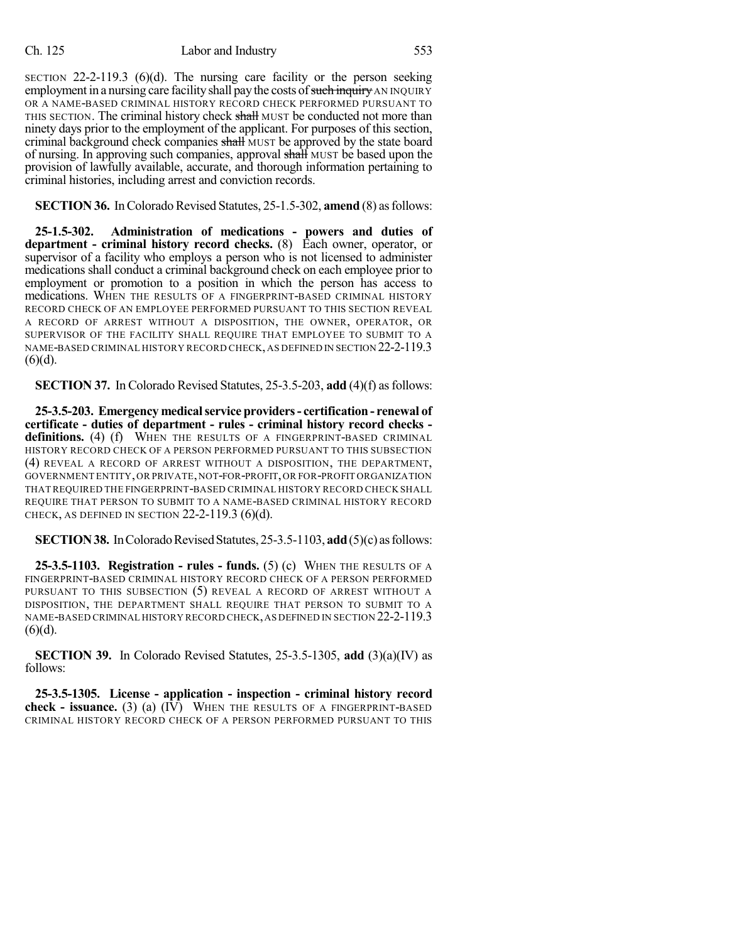SECTION  $22-2-119.3$  (6)(d). The nursing care facility or the person seeking employment in a nursing care facility shall pay the costs of such inquiry AN INQUIRY OR A NAME-BASED CRIMINAL HISTORY RECORD CHECK PERFORMED PURSUANT TO THIS SECTION. The criminal history check shall MUST be conducted not more than ninety days prior to the employment of the applicant. For purposes of this section, criminal background check companies shall MUST be approved by the state board of nursing. In approving such companies, approval shall MUST be based upon the provision of lawfully available, accurate, and thorough information pertaining to criminal histories, including arrest and conviction records.

**SECTION 36.** In Colorado Revised Statutes, 25-1.5-302, **amend** (8) as follows:

**25-1.5-302. Administration of medications - powers and duties of department - criminal history record checks.** (8) Each owner, operator, or supervisor of a facility who employs a person who is not licensed to administer medications shall conduct a criminal background check on each employee prior to employment or promotion to a position in which the person has access to medications. WHEN THE RESULTS OF A FINGERPRINT-BASED CRIMINAL HISTORY RECORD CHECK OF AN EMPLOYEE PERFORMED PURSUANT TO THIS SECTION REVEAL A RECORD OF ARREST WITHOUT A DISPOSITION, THE OWNER, OPERATOR, OR SUPERVISOR OF THE FACILITY SHALL REQUIRE THAT EMPLOYEE TO SUBMIT TO A NAME-BASED CRIMINAL HISTORY RECORD CHECK,AS DEFINED IN SECTION 22-2-119.3  $(6)(d)$ .

**SECTION 37.** In Colorado Revised Statutes, 25-3.5-203, **add** (4)(f) as follows:

**25-3.5-203. Emergency medicalservice providers- certification - renewal of certificate - duties of department - rules - criminal history record checks**  definitions. (4) (f) WHEN THE RESULTS OF A FINGERPRINT-BASED CRIMINAL HISTORY RECORD CHECK OF A PERSON PERFORMED PURSUANT TO THIS SUBSECTION (4) REVEAL A RECORD OF ARREST WITHOUT A DISPOSITION, THE DEPARTMENT, GOVERNMENT ENTITY,OR PRIVATE,NOT-FOR-PROFIT,OR FOR-PROFIT ORGANIZATION THATREQUIRED THE FINGERPRINT-BASED CRIMINAL HISTORY RECORD CHECK SHALL REQUIRE THAT PERSON TO SUBMIT TO A NAME-BASED CRIMINAL HISTORY RECORD CHECK, AS DEFINED IN SECTION  $22-2-119.3$  (6)(d).

**SECTION 38.** In Colorado Revised Statutes, 25-3.5-1103, **add** (5)(c) as follows:

**25-3.5-1103. Registration - rules - funds.** (5) (c) WHEN THE RESULTS OF A FINGERPRINT-BASED CRIMINAL HISTORY RECORD CHECK OF A PERSON PERFORMED PURSUANT TO THIS SUBSECTION (5) REVEAL A RECORD OF ARREST WITHOUT A DISPOSITION, THE DEPARTMENT SHALL REQUIRE THAT PERSON TO SUBMIT TO A NAME-BASED CRIMINAL HISTORY RECORD CHECK,AS DEFINED IN SECTION 22-2-119.3  $(6)(d)$ .

**SECTION 39.** In Colorado Revised Statutes, 25-3.5-1305, **add** (3)(a)(IV) as follows:

**25-3.5-1305. License - application - inspection - criminal history record check - issuance.** (3) (a)  $(I\overline{V})$  WHEN THE RESULTS OF A FINGERPRINT-BASED CRIMINAL HISTORY RECORD CHECK OF A PERSON PERFORMED PURSUANT TO THIS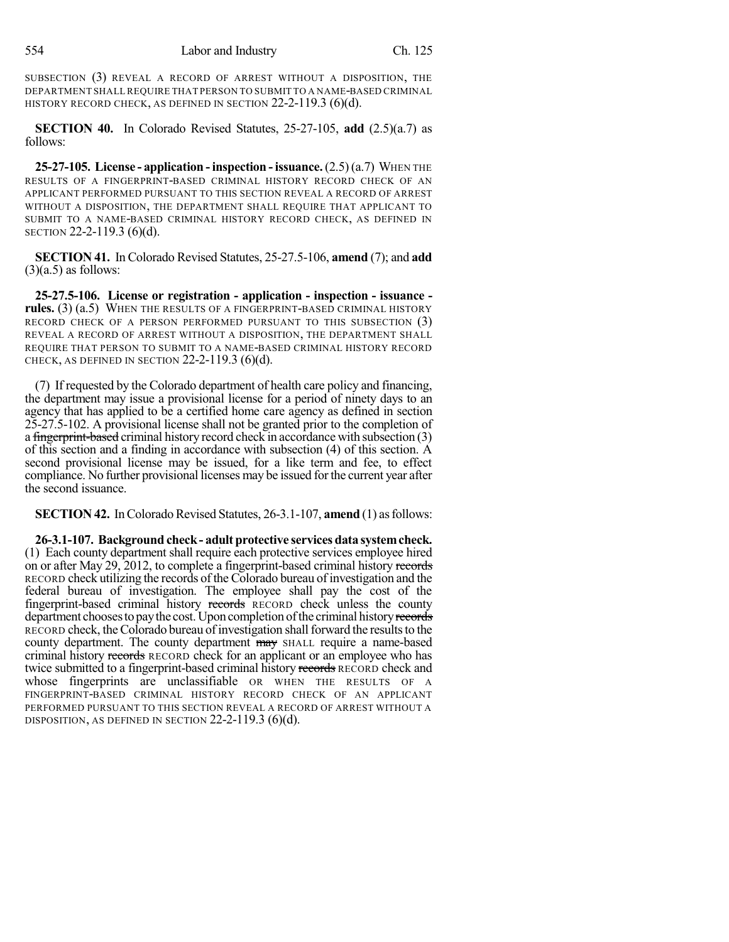SUBSECTION (3) REVEAL A RECORD OF ARREST WITHOUT A DISPOSITION, THE DEPARTMENT SHALL REQUIRE THAT PERSON TO SUBMIT TO A NAME-BASED CRIMINAL HISTORY RECORD CHECK, AS DEFINED IN SECTION 22-2-119.3 (6)(d).

**SECTION 40.** In Colorado Revised Statutes, 25-27-105, **add** (2.5)(a.7) as follows:

**25-27-105. License - application -inspection -issuance.**(2.5)(a.7) WHEN THE RESULTS OF A FINGERPRINT-BASED CRIMINAL HISTORY RECORD CHECK OF AN APPLICANT PERFORMED PURSUANT TO THIS SECTION REVEAL A RECORD OF ARREST WITHOUT A DISPOSITION, THE DEPARTMENT SHALL REQUIRE THAT APPLICANT TO SUBMIT TO A NAME-BASED CRIMINAL HISTORY RECORD CHECK, AS DEFINED IN SECTION 22-2-119.3 (6)(d).

**SECTION 41.** InColorado Revised Statutes, 25-27.5-106, **amend** (7); and **add**  $(3)(a.5)$  as follows:

**25-27.5-106. License or registration - application - inspection - issuance**  rules. (3) (a.5) WHEN THE RESULTS OF A FINGERPRINT-BASED CRIMINAL HISTORY RECORD CHECK OF A PERSON PERFORMED PURSUANT TO THIS SUBSECTION (3) REVEAL A RECORD OF ARREST WITHOUT A DISPOSITION, THE DEPARTMENT SHALL REQUIRE THAT PERSON TO SUBMIT TO A NAME-BASED CRIMINAL HISTORY RECORD CHECK, AS DEFINED IN SECTION  $22-2-119.3$  (6)(d).

(7) If requested by the Colorado department of health care policy and financing, the department may issue a provisional license for a period of ninety days to an agency that has applied to be a certified home care agency as defined in section 25-27.5-102. A provisional license shall not be granted prior to the completion of a fingerprint-based criminal history record check in accordance with subsection (3) of this section and a finding in accordance with subsection (4) of this section. A second provisional license may be issued, for a like term and fee, to effect compliance. No further provisional licenses may be issued forthe current year after the second issuance.

**SECTION 42.** In Colorado Revised Statutes, 26-3.1-107, **amend** (1) as follows:

**26-3.1-107. Background check- adult protective services data systemcheck.** (1) Each county department shall require each protective services employee hired on or after May 29, 2012, to complete a fingerprint-based criminal history records RECORD check utilizing the records of the Colorado bureau of investigation and the federal bureau of investigation. The employee shall pay the cost of the fingerprint-based criminal history records RECORD check unless the county department chooses to pay the cost. Upon completion of the criminal history records RECORD check, the Colorado bureau of investigation shall forward the results to the county department. The county department may SHALL require a name-based criminal history records RECORD check for an applicant or an employee who has twice submitted to a fingerprint-based criminal history records RECORD check and whose fingerprints are unclassifiable OR WHEN THE RESULTS OF A FINGERPRINT-BASED CRIMINAL HISTORY RECORD CHECK OF AN APPLICANT PERFORMED PURSUANT TO THIS SECTION REVEAL A RECORD OF ARREST WITHOUT A DISPOSITION, AS DEFINED IN SECTION 22-2-119.3 (6)(d).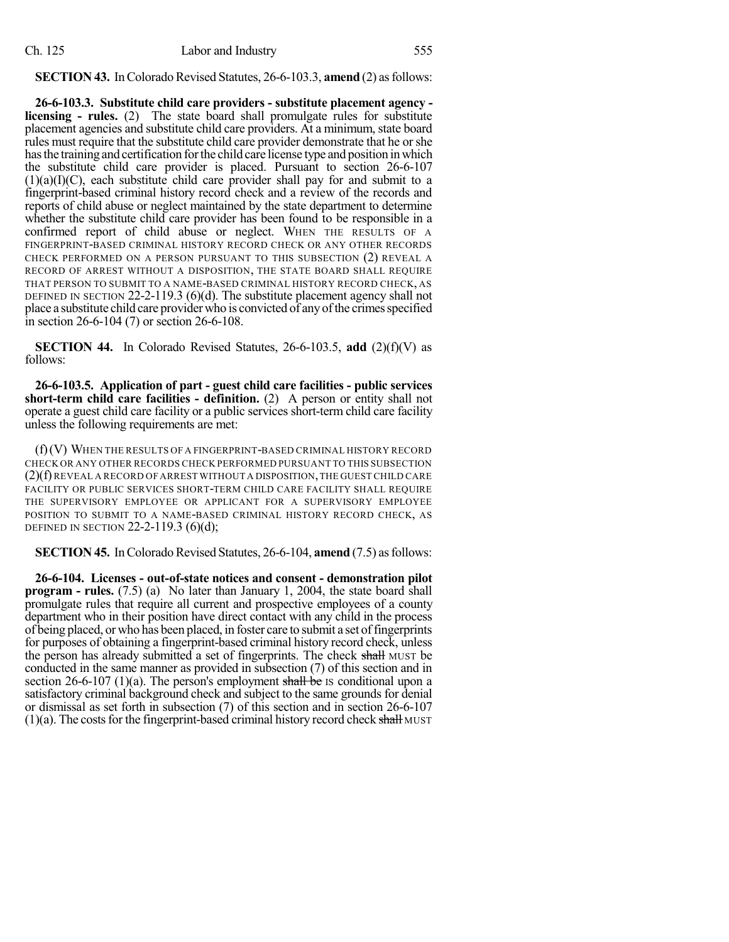**SECTION 43.** In Colorado Revised Statutes, 26-6-103.3, **amend** (2) as follows:

**26-6-103.3. Substitute child care providers - substitute placement agency licensing - rules.** (2) The state board shall promulgate rules for substitute placement agencies and substitute child care providers. At a minimum, state board rules must require that the substitute child care provider demonstrate that he orshe hasthe training and certification forthe child care license type and position inwhich the substitute child care provider is placed. Pursuant to section 26-6-107  $(1)(a)(I)(C)$ , each substitute child care provider shall pay for and submit to a fingerprint-based criminal history record check and a review of the records and reports of child abuse or neglect maintained by the state department to determine whether the substitute child care provider has been found to be responsible in a confirmed report of child abuse or neglect. WHEN THE RESULTS OF A FINGERPRINT-BASED CRIMINAL HISTORY RECORD CHECK OR ANY OTHER RECORDS CHECK PERFORMED ON A PERSON PURSUANT TO THIS SUBSECTION (2) REVEAL A RECORD OF ARREST WITHOUT A DISPOSITION, THE STATE BOARD SHALL REQUIRE THAT PERSON TO SUBMIT TO A NAME-BASED CRIMINAL HISTORY RECORD CHECK, AS DEFINED IN SECTION 22-2-119.3 (6)(d). The substitute placement agency shall not place a substitute child care provider who is convicted of any of the crimes specified in section 26-6-104 (7) or section 26-6-108.

**SECTION 44.** In Colorado Revised Statutes, 26-6-103.5, **add** (2)(f)(V) as follows:

**26-6-103.5. Application of part - guest child care facilities - public services short-term child care facilities - definition.** (2) A person or entity shall not operate a guest child care facility or a public services short-term child care facility unless the following requirements are met:

(f)(V) WHEN THE RESULTS OF A FINGERPRINT-BASED CRIMINAL HISTORY RECORD CHECK OR ANY OTHER RECORDS CHECK PERFORMED PURSUANT TO THIS SUBSECTION (2)(f) REVEAL A RECORD OF ARREST WITHOUT A DISPOSITION,THE GUEST CHILD CARE FACILITY OR PUBLIC SERVICES SHORT-TERM CHILD CARE FACILITY SHALL REQUIRE THE SUPERVISORY EMPLOYEE OR APPLICANT FOR A SUPERVISORY EMPLOYEE POSITION TO SUBMIT TO A NAME-BASED CRIMINAL HISTORY RECORD CHECK, AS DEFINED IN SECTION 22-2-119.3  $(6)(d)$ ;

**SECTION 45.** In Colorado Revised Statutes, 26-6-104, **amend** (7.5) as follows:

**26-6-104. Licenses - out-of-state notices and consent - demonstration pilot program - rules.** (7.5) (a) No later than January 1, 2004, the state board shall promulgate rules that require all current and prospective employees of a county department who in their position have direct contact with any child in the process of being placed, or who has been placed, in foster care to submit a set offingerprints for purposes of obtaining a fingerprint-based criminal history record check, unless the person has already submitted a set of fingerprints. The check shall MUST be conducted in the same manner as provided in subsection (7) of this section and in section 26-6-107 (1)(a). The person's employment shall be IS conditional upon a satisfactory criminal background check and subject to the same grounds for denial or dismissal as set forth in subsection (7) of this section and in section 26-6-107  $(1)(a)$ . The costs for the fingerprint-based criminal history record check shall MUST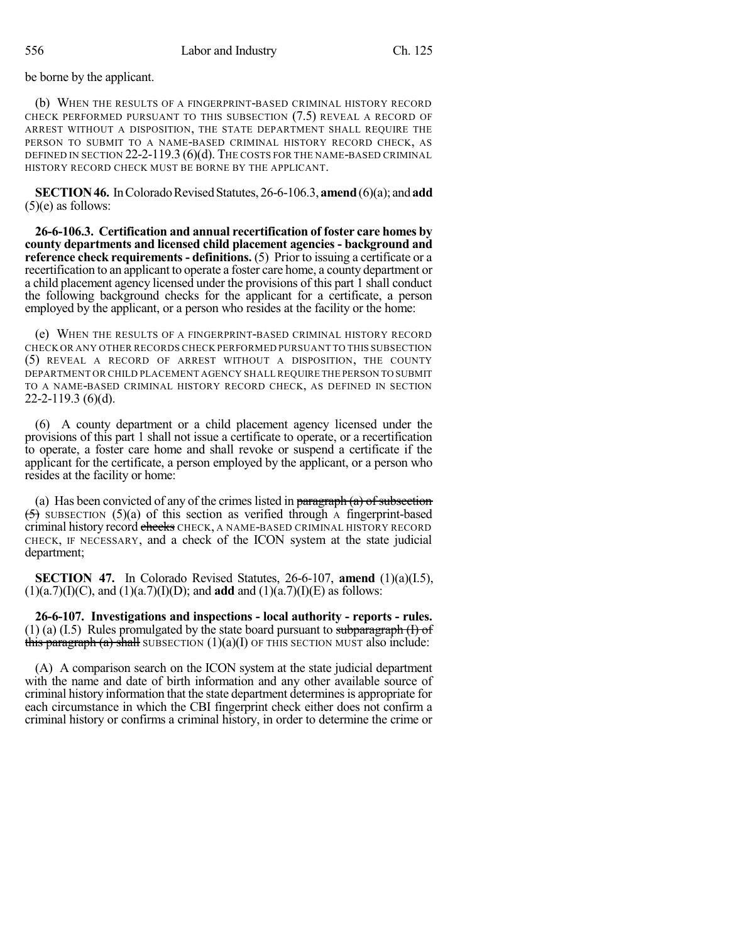be borne by the applicant.

(b) WHEN THE RESULTS OF A FINGERPRINT-BASED CRIMINAL HISTORY RECORD CHECK PERFORMED PURSUANT TO THIS SUBSECTION (7.5) REVEAL A RECORD OF ARREST WITHOUT A DISPOSITION, THE STATE DEPARTMENT SHALL REQUIRE THE PERSON TO SUBMIT TO A NAME-BASED CRIMINAL HISTORY RECORD CHECK, AS DEFINED IN SECTION 22-2-119.3 (6)(d). THE COSTS FOR THE NAME-BASED CRIMINAL HISTORY RECORD CHECK MUST BE BORNE BY THE APPLICANT.

**SECTION 46.** In Colorado Revised Statutes, 26-6-106.3, **amend** (6)(a); and **add** (5)(e) as follows:

**26-6-106.3. Certification and annual recertification of foster care homes by county departments and licensed child placement agencies - background and reference check requirements - definitions.** (5) Prior to issuing a certificate or a recertification to an applicant to operate a foster care home, a county department or a child placement agency licensed under the provisions of this part 1 shall conduct the following background checks for the applicant for a certificate, a person employed by the applicant, or a person who resides at the facility or the home:

(e) WHEN THE RESULTS OF A FINGERPRINT-BASED CRIMINAL HISTORY RECORD CHECK OR ANY OTHER RECORDS CHECK PERFORMED PURSUANT TO THIS SUBSECTION (5) REVEAL A RECORD OF ARREST WITHOUT A DISPOSITION, THE COUNTY DEPARTMENT OR CHILD PLACEMENT AGENCY SHALL REQUIRE THE PERSON TO SUBMIT TO A NAME-BASED CRIMINAL HISTORY RECORD CHECK, AS DEFINED IN SECTION 22-2-119.3 (6)(d).

(6) A county department or a child placement agency licensed under the provisions of this part 1 shall not issue a certificate to operate, or a recertification to operate, a foster care home and shall revoke or suspend a certificate if the applicant for the certificate, a person employed by the applicant, or a person who resides at the facility or home:

(a) Has been convicted of any of the crimes listed in paragraph  $(a)$  of subsection  $(5)$  SUBSECTION  $(5)(a)$  of this section as verified through A fingerprint-based criminal history record checks CHECK, A NAME-BASED CRIMINAL HISTORY RECORD CHECK, IF NECESSARY, and a check of the ICON system at the state judicial department;

**SECTION 47.** In Colorado Revised Statutes, 26-6-107, **amend** (1)(a)(I.5),  $(1)(a.7)(I)(C)$ , and  $(1)(a.7)(I)(D)$ ; and **add** and  $(1)(a.7)(I)(E)$  as follows:

**26-6-107. Investigations and inspections - local authority - reports - rules.**  $(1)$  (a) (I.5) Rules promulgated by the state board pursuant to subparagraph (I) of this paragraph (a) shall SUBSECTION  $(1)(a)(I)$  OF THIS SECTION MUST also include:

(A) A comparison search on the ICON system at the state judicial department with the name and date of birth information and any other available source of criminal history information that the state department determines is appropriate for each circumstance in which the CBI fingerprint check either does not confirm a criminal history or confirms a criminal history, in order to determine the crime or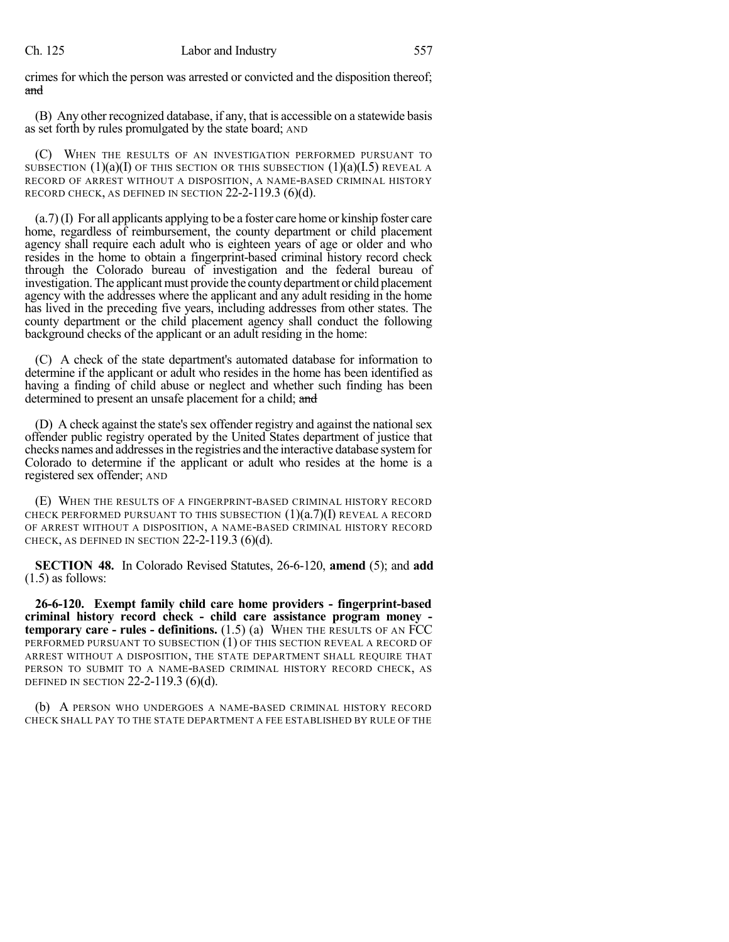#### Ch. 125 Labor and Industry 557

crimes for which the person was arrested or convicted and the disposition thereof; and

(B) Any other recognized database, if any, that is accessible on a statewide basis as set forth by rules promulgated by the state board; AND

(C) WHEN THE RESULTS OF AN INVESTIGATION PERFORMED PURSUANT TO SUBSECTION  $(1)(a)(I)$  OF THIS SECTION OR THIS SUBSECTION  $(1)(a)(I.5)$  REVEAL A RECORD OF ARREST WITHOUT A DISPOSITION, A NAME-BASED CRIMINAL HISTORY RECORD CHECK, AS DEFINED IN SECTION 22-2-119.3 (6)(d).

(a.7) (I) For all applicants applying to be a foster care home or kinship foster care home, regardless of reimbursement, the county department or child placement agency shall require each adult who is eighteen years of age or older and who resides in the home to obtain a fingerprint-based criminal history record check through the Colorado bureau of investigation and the federal bureau of investigation. The applicant must provide the county department or child placement agency with the addresses where the applicant and any adult residing in the home has lived in the preceding five years, including addresses from other states. The county department or the child placement agency shall conduct the following background checks of the applicant or an adult residing in the home:

(C) A check of the state department's automated database for information to determine if the applicant or adult who resides in the home has been identified as having a finding of child abuse or neglect and whether such finding has been determined to present an unsafe placement for a child; and

(D) A check against the state's sex offender registry and against the national sex offender public registry operated by the United States department of justice that checks names and addresses in the registries and the interactive database system for Colorado to determine if the applicant or adult who resides at the home is a registered sex offender; AND

(E) WHEN THE RESULTS OF A FINGERPRINT-BASED CRIMINAL HISTORY RECORD CHECK PERFORMED PURSUANT TO THIS SUBSECTION  $(1)(a.7)(I)$  REVEAL A RECORD OF ARREST WITHOUT A DISPOSITION, A NAME-BASED CRIMINAL HISTORY RECORD CHECK, AS DEFINED IN SECTION  $22-2-119.3$  (6)(d).

**SECTION 48.** In Colorado Revised Statutes, 26-6-120, **amend** (5); and **add** (1.5) as follows:

**26-6-120. Exempt family child care home providers - fingerprint-based criminal history record check - child care assistance program money temporary care - rules - definitions.** (1.5) (a) WHEN THE RESULTS OF AN FCC PERFORMED PURSUANT TO SUBSECTION (1) OF THIS SECTION REVEAL A RECORD OF ARREST WITHOUT A DISPOSITION, THE STATE DEPARTMENT SHALL REQUIRE THAT PERSON TO SUBMIT TO A NAME-BASED CRIMINAL HISTORY RECORD CHECK, AS DEFINED IN SECTION 22-2-119.3 (6)(d).

(b) A PERSON WHO UNDERGOES A NAME-BASED CRIMINAL HISTORY RECORD CHECK SHALL PAY TO THE STATE DEPARTMENT A FEE ESTABLISHED BY RULE OF THE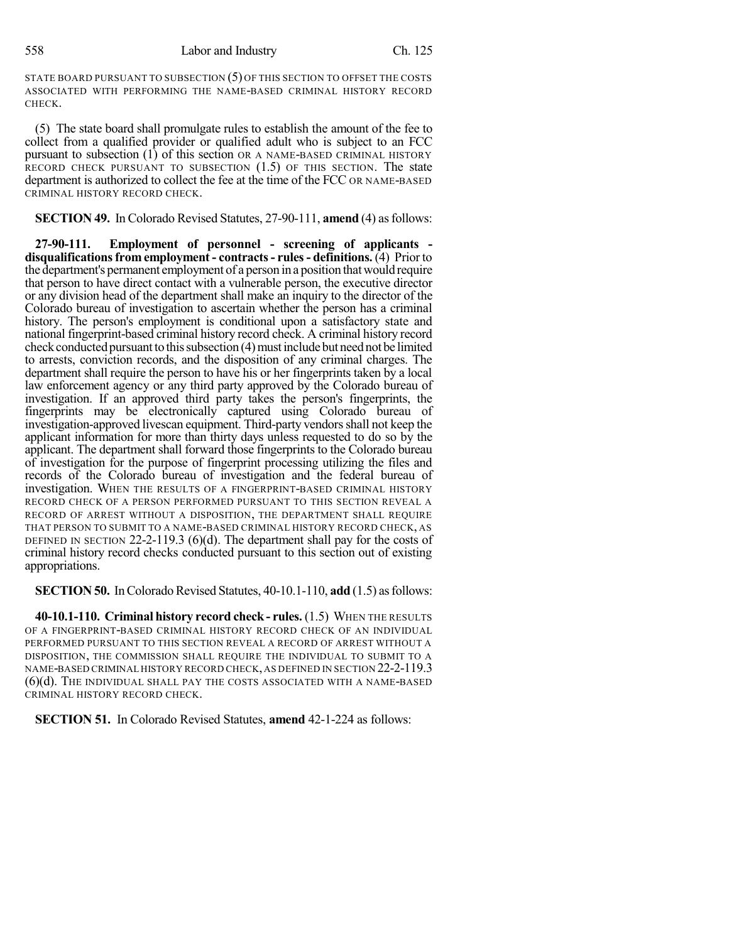STATE BOARD PURSUANT TO SUBSECTION (5) OF THIS SECTION TO OFFSET THE COSTS ASSOCIATED WITH PERFORMING THE NAME-BASED CRIMINAL HISTORY RECORD CHECK.

(5) The state board shall promulgate rules to establish the amount of the fee to collect from a qualified provider or qualified adult who is subject to an FCC pursuant to subsection (1) of this section OR A NAME-BASED CRIMINAL HISTORY RECORD CHECK PURSUANT TO SUBSECTION  $(1.5)$  OF THIS SECTION. The state department is authorized to collect the fee at the time of the FCC OR NAME-BASED CRIMINAL HISTORY RECORD CHECK.

**SECTION 49.** In Colorado Revised Statutes, 27-90-111, **amend** (4) as follows:

**27-90-111. Employment of personnel - screening of applicants disqualificationsfrom employment - contracts- rules- definitions.** (4) Prior to the department's permanent employment of a person in a position thatwould require that person to have direct contact with a vulnerable person, the executive director or any division head of the department shall make an inquiry to the director of the Colorado bureau of investigation to ascertain whether the person has a criminal history. The person's employment is conditional upon a satisfactory state and national fingerprint-based criminal history record check. A criminal history record check conducted pursuant to this subsection (4) must include but need not be limited to arrests, conviction records, and the disposition of any criminal charges. The department shall require the person to have his or her fingerprints taken by a local law enforcement agency or any third party approved by the Colorado bureau of investigation. If an approved third party takes the person's fingerprints, the fingerprints may be electronically captured using Colorado bureau of investigation-approved livescan equipment. Third-party vendors shall not keep the applicant information for more than thirty days unless requested to do so by the applicant. The department shall forward those fingerprints to the Colorado bureau of investigation for the purpose of fingerprint processing utilizing the files and records of the Colorado bureau of investigation and the federal bureau of investigation. WHEN THE RESULTS OF A FINGERPRINT-BASED CRIMINAL HISTORY RECORD CHECK OF A PERSON PERFORMED PURSUANT TO THIS SECTION REVEAL A RECORD OF ARREST WITHOUT A DISPOSITION, THE DEPARTMENT SHALL REQUIRE THAT PERSON TO SUBMIT TO A NAME-BASED CRIMINAL HISTORY RECORD CHECK, AS DEFINED IN SECTION 22-2-119.3 (6)(d). The department shall pay for the costs of criminal history record checks conducted pursuant to this section out of existing appropriations.

**SECTION 50.** In Colorado Revised Statutes, 40-10.1-110, **add** (1.5) as follows:

**40-10.1-110. Criminal history record check- rules.** (1.5) WHEN THE RESULTS OF A FINGERPRINT-BASED CRIMINAL HISTORY RECORD CHECK OF AN INDIVIDUAL PERFORMED PURSUANT TO THIS SECTION REVEAL A RECORD OF ARREST WITHOUT A DISPOSITION, THE COMMISSION SHALL REQUIRE THE INDIVIDUAL TO SUBMIT TO A NAME-BASED CRIMINAL HISTORY RECORD CHECK,AS DEFINED IN SECTION 22-2-119.3 (6)(d). THE INDIVIDUAL SHALL PAY THE COSTS ASSOCIATED WITH A NAME-BASED CRIMINAL HISTORY RECORD CHECK.

**SECTION 51.** In Colorado Revised Statutes, **amend** 42-1-224 as follows: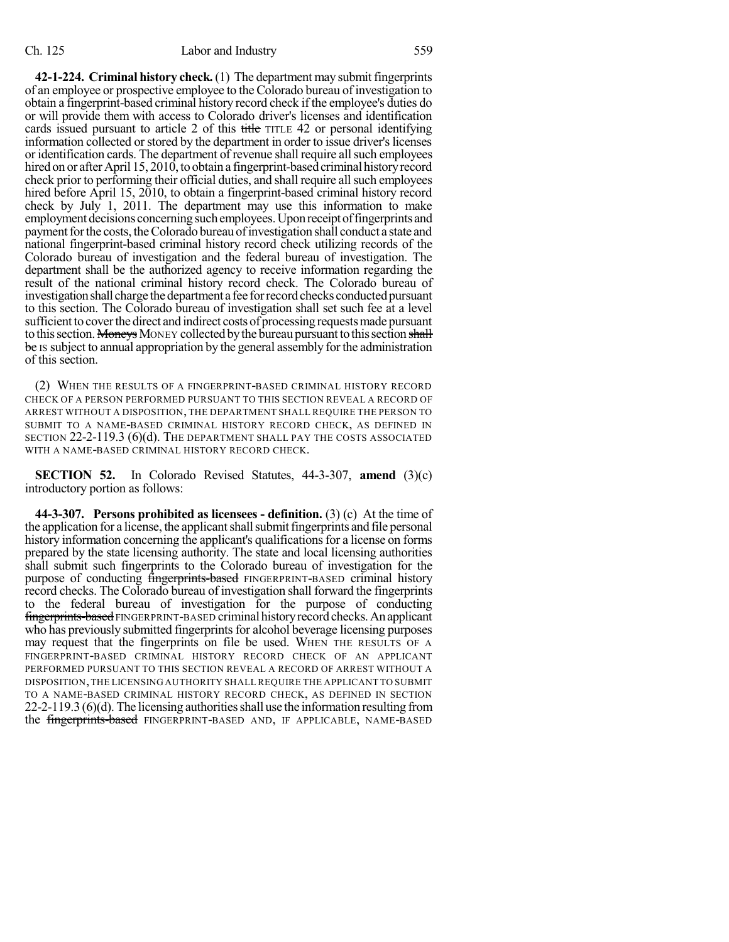**42-1-224. Criminal history check.** (1) The department may submit fingerprints of an employee or prospective employee to the Colorado bureau of investigation to obtain a fingerprint-based criminal history record check if the employee's duties do or will provide them with access to Colorado driver's licenses and identification cards issued pursuant to article 2 of this title TITLE 42 or personal identifying information collected or stored by the department in order to issue driver's licenses or identification cards. The department of revenue shall require all such employees hired on or after April 15, 2010, to obtain a fingerprint-based criminal history record check prior to performing their official duties, and shall require all such employees hired before April 15, 2010, to obtain a fingerprint-based criminal history record check by July 1, 2011. The department may use this information to make employment decisions concerningsuchemployees.Uponreceiptoffingerprints and payment for the costs, the Colorado bureau of investigation shall conduct a state and national fingerprint-based criminal history record check utilizing records of the Colorado bureau of investigation and the federal bureau of investigation. The department shall be the authorized agency to receive information regarding the result of the national criminal history record check. The Colorado bureau of investigation shall charge the department a fee for record checks conducted pursuant to this section. The Colorado bureau of investigation shall set such fee at a level sufficient to cover the direct and indirect costs of processing requests made pursuant to this section. Moneys MONEY collected by the bureau pursuant to this section shall be IS subject to annual appropriation by the general assembly for the administration of this section.

(2) WHEN THE RESULTS OF A FINGERPRINT-BASED CRIMINAL HISTORY RECORD CHECK OF A PERSON PERFORMED PURSUANT TO THIS SECTION REVEAL A RECORD OF ARREST WITHOUT A DISPOSITION, THE DEPARTMENT SHALL REQUIRE THE PERSON TO SUBMIT TO A NAME-BASED CRIMINAL HISTORY RECORD CHECK, AS DEFINED IN SECTION 22-2-119.3 (6)(d). THE DEPARTMENT SHALL PAY THE COSTS ASSOCIATED WITH A NAME-BASED CRIMINAL HISTORY RECORD CHECK.

**SECTION 52.** In Colorado Revised Statutes, 44-3-307, **amend** (3)(c) introductory portion as follows:

**44-3-307. Persons prohibited as licensees - definition.** (3) (c) At the time of the application for a license, the applicant shall submit fingerprints and file personal history information concerning the applicant's qualifications for a license on forms prepared by the state licensing authority. The state and local licensing authorities shall submit such fingerprints to the Colorado bureau of investigation for the purpose of conducting *fingerprints-based* FINGERPRINT-BASED criminal history record checks. The Colorado bureau of investigation shall forward the fingerprints to the federal bureau of investigation for the purpose of conducting fingerprints-based FINGERPRINT-BASED criminal history record checks. An applicant who has previously submitted fingerprints for alcohol beverage licensing purposes may request that the fingerprints on file be used. WHEN THE RESULTS OF A FINGERPRINT-BASED CRIMINAL HISTORY RECORD CHECK OF AN APPLICANT PERFORMED PURSUANT TO THIS SECTION REVEAL A RECORD OF ARREST WITHOUT A DISPOSITION,THE LICENSING AUTHORITY SHALL REQUIRE THE APPLICANT TO SUBMIT TO A NAME-BASED CRIMINAL HISTORY RECORD CHECK, AS DEFINED IN SECTION  $22-2-119.3$  (6)(d). The licensing authorities shall use the information resulting from the fingerprints-based FINGERPRINT-BASED AND, IF APPLICABLE, NAME-BASED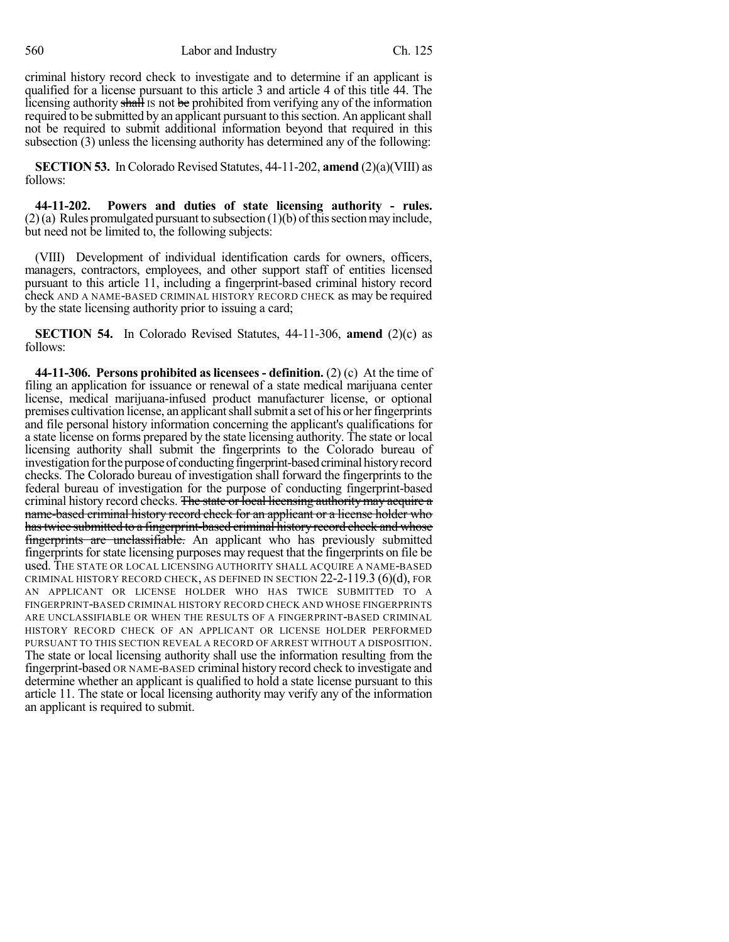560 Labor and Industry Ch. 125

criminal history record check to investigate and to determine if an applicant is qualified for a license pursuant to this article 3 and article 4 of this title 44. The licensing authority shall is not be prohibited from verifying any of the information required to be submitted by an applicant pursuant to this section. An applicant shall not be required to submit additional information beyond that required in this subsection (3) unless the licensing authority has determined any of the following:

**SECTION 53.** In Colorado Revised Statutes, 44-11-202, **amend** (2)(a)(VIII) as follows:

**44-11-202. Powers and duties of state licensing authority - rules.**  $(2)$ (a) Rules promulgated pursuant to subsection  $(1)$ (b) of this section may include, but need not be limited to, the following subjects:

(VIII) Development of individual identification cards for owners, officers, managers, contractors, employees, and other support staff of entities licensed pursuant to this article 11, including a fingerprint-based criminal history record check AND A NAME-BASED CRIMINAL HISTORY RECORD CHECK as may be required by the state licensing authority prior to issuing a card;

**SECTION 54.** In Colorado Revised Statutes, 44-11-306, **amend** (2)(c) as follows:

**44-11-306. Persons prohibited aslicensees - definition.** (2) (c) At the time of filing an application for issuance or renewal of a state medical marijuana center license, medical marijuana-infused product manufacturer license, or optional premises cultivation license, an applicant shall submit a set of his or her fingerprints and file personal history information concerning the applicant's qualifications for a state license on forms prepared by the state licensing authority. The state or local licensing authority shall submit the fingerprints to the Colorado bureau of investigation for the purpose of conducting fingerprint-based criminal history record checks. The Colorado bureau of investigation shall forward the fingerprints to the federal bureau of investigation for the purpose of conducting fingerprint-based criminal history record checks. The state or local licensing authority may acquire a name-based criminal history record check for an applicant or a license holder who hastwice submitted to a fingerprint-based criminal history record check and whose fingerprints are unclassifiable. An applicant who has previously submitted fingerprints for state licensing purposes may request that the fingerprints on file be used. THE STATE OR LOCAL LICENSING AUTHORITY SHALL ACQUIRE A NAME-BASED CRIMINAL HISTORY RECORD CHECK, AS DEFINED IN SECTION  $22-2-119.3$  (6)(d), FOR AN APPLICANT OR LICENSE HOLDER WHO HAS TWICE SUBMITTED TO A FINGERPRINT-BASED CRIMINAL HISTORY RECORD CHECK AND WHOSE FINGERPRINTS ARE UNCLASSIFIABLE OR WHEN THE RESULTS OF A FINGERPRINT-BASED CRIMINAL HISTORY RECORD CHECK OF AN APPLICANT OR LICENSE HOLDER PERFORMED PURSUANT TO THIS SECTION REVEAL A RECORD OF ARREST WITHOUT A DISPOSITION. The state or local licensing authority shall use the information resulting from the fingerprint-based OR NAME-BASED criminal history record check to investigate and determine whether an applicant is qualified to hold a state license pursuant to this article 11. The state or local licensing authority may verify any of the information an applicant is required to submit.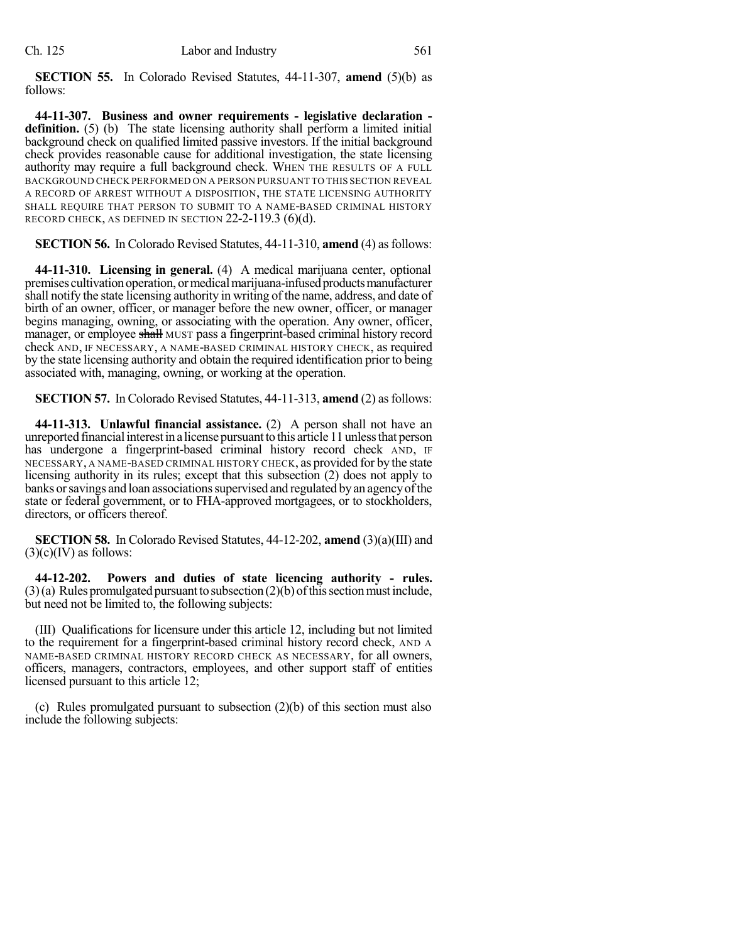**SECTION 55.** In Colorado Revised Statutes, 44-11-307, **amend** (5)(b) as follows:

**44-11-307. Business and owner requirements - legislative declaration definition.** (5) (b) The state licensing authority shall perform a limited initial background check on qualified limited passive investors. If the initial background check provides reasonable cause for additional investigation, the state licensing authority may require a full background check. WHEN THE RESULTS OF A FULL BACKGROUND CHECK PERFORMED ON A PERSON PURSUANT TO THIS SECTION REVEAL A RECORD OF ARREST WITHOUT A DISPOSITION, THE STATE LICENSING AUTHORITY SHALL REQUIRE THAT PERSON TO SUBMIT TO A NAME-BASED CRIMINAL HISTORY RECORD CHECK, AS DEFINED IN SECTION 22-2-119.3 (6)(d).

**SECTION 56.** In Colorado Revised Statutes, 44-11-310, **amend** (4) as follows:

**44-11-310. Licensing in general.** (4) A medical marijuana center, optional premises cultivation operation, or medical marijuana-infused products manufacturer shall notify the state licensing authority in writing of the name, address, and date of birth of an owner, officer, or manager before the new owner, officer, or manager begins managing, owning, or associating with the operation. Any owner, officer, manager, or employee shall MUST pass a fingerprint-based criminal history record check AND, IF NECESSARY, A NAME-BASED CRIMINAL HISTORY CHECK, as required by the state licensing authority and obtain the required identification prior to being associated with, managing, owning, or working at the operation.

**SECTION 57.** InColorado Revised Statutes, 44-11-313, **amend** (2) asfollows:

**44-11-313. Unlawful financial assistance.** (2) A person shall not have an unreported financial interest in a license pursuant to this article 11 unless that person has undergone a fingerprint-based criminal history record check AND, IF NECESSARY, A NAME-BASED CRIMINAL HISTORY CHECK, as provided for by the state licensing authority in its rules; except that this subsection (2) does not apply to banks or savings and loan associations supervised and regulated by an agency of the state or federal government, or to FHA-approved mortgagees, or to stockholders, directors, or officers thereof.

**SECTION 58.** In Colorado Revised Statutes, 44-12-202, **amend** (3)(a)(III) and  $(3)(c)(IV)$  as follows:

**44-12-202. Powers and duties of state licencing authority - rules.**  $(3)(a)$  Rules promulgated pursuant to subsection  $(2)(b)$  of this section must include, but need not be limited to, the following subjects:

(III) Qualifications for licensure under this article 12, including but not limited to the requirement for a fingerprint-based criminal history record check, AND A NAME-BASED CRIMINAL HISTORY RECORD CHECK AS NECESSARY, for all owners, officers, managers, contractors, employees, and other support staff of entities licensed pursuant to this article 12;

(c) Rules promulgated pursuant to subsection (2)(b) of this section must also include the following subjects: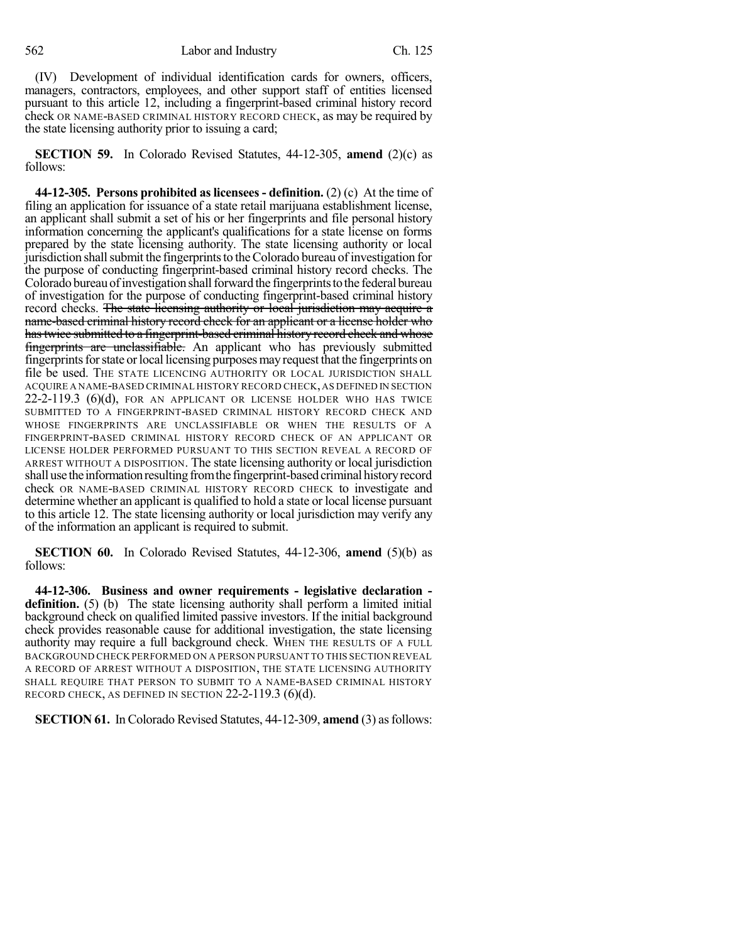(IV) Development of individual identification cards for owners, officers, managers, contractors, employees, and other support staff of entities licensed pursuant to this article 12, including a fingerprint-based criminal history record check OR NAME-BASED CRIMINAL HISTORY RECORD CHECK, as may be required by the state licensing authority prior to issuing a card;

**SECTION 59.** In Colorado Revised Statutes, 44-12-305, **amend** (2)(c) as follows:

**44-12-305. Persons prohibited aslicensees - definition.** (2) (c) At the time of filing an application for issuance of a state retail marijuana establishment license, an applicant shall submit a set of his or her fingerprints and file personal history information concerning the applicant's qualifications for a state license on forms prepared by the state licensing authority. The state licensing authority or local jurisdiction shall submit the fingerprints to the Colorado bureau of investigation for the purpose of conducting fingerprint-based criminal history record checks. The Colorado bureau of investigation shall forward the fingerprints to the federal bureau of investigation for the purpose of conducting fingerprint-based criminal history record checks. The state licensing authority or local jurisdiction may acquire a name-based criminal history record check for an applicant or a license holder who hastwice submitted to a fingerprint-based criminal history record check and whose fingerprints are unclassifiable. An applicant who has previously submitted fingerprints for state or local licensing purposes may request that the fingerprints on file be used. THE STATE LICENCING AUTHORITY OR LOCAL JURISDICTION SHALL ACQUIRE A NAME-BASED CRIMINAL HISTORY RECORD CHECK,AS DEFINED IN SECTION 22-2-119.3 (6)(d), FOR AN APPLICANT OR LICENSE HOLDER WHO HAS TWICE SUBMITTED TO A FINGERPRINT-BASED CRIMINAL HISTORY RECORD CHECK AND WHOSE FINGERPRINTS ARE UNCLASSIFIABLE OR WHEN THE RESULTS OF A FINGERPRINT-BASED CRIMINAL HISTORY RECORD CHECK OF AN APPLICANT OR LICENSE HOLDER PERFORMED PURSUANT TO THIS SECTION REVEAL A RECORD OF ARREST WITHOUT A DISPOSITION. The state licensing authority or local jurisdiction shall use the information resulting from the fingerprint-based criminal history record check OR NAME-BASED CRIMINAL HISTORY RECORD CHECK to investigate and determine whether an applicant is qualified to hold a state or local license pursuant to this article 12. The state licensing authority or local jurisdiction may verify any of the information an applicant is required to submit.

**SECTION 60.** In Colorado Revised Statutes, 44-12-306, **amend** (5)(b) as follows:

**44-12-306. Business and owner requirements - legislative declaration definition.** (5) (b) The state licensing authority shall perform a limited initial background check on qualified limited passive investors. If the initial background check provides reasonable cause for additional investigation, the state licensing authority may require a full background check. WHEN THE RESULTS OF A FULL BACKGROUND CHECK PERFORMED ON A PERSON PURSUANT TO THIS SECTION REVEAL A RECORD OF ARREST WITHOUT A DISPOSITION, THE STATE LICENSING AUTHORITY SHALL REQUIRE THAT PERSON TO SUBMIT TO A NAME-BASED CRIMINAL HISTORY RECORD CHECK, AS DEFINED IN SECTION  $22-2-119.3$  (6)(d).

**SECTION 61.** In Colorado Revised Statutes, 44-12-309, **amend** (3) as follows: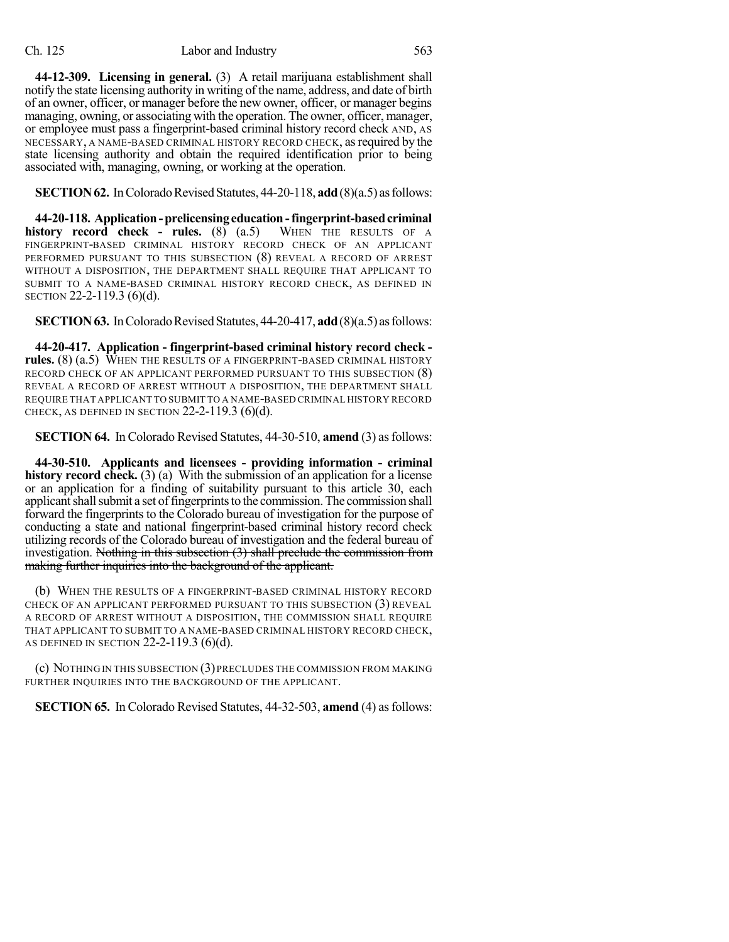**44-12-309. Licensing in general.** (3) A retail marijuana establishment shall notify the state licensing authority in writing of the name, address, and date of birth of an owner, officer, or manager before the new owner, officer, or manager begins managing, owning, or associating with the operation. The owner, officer, manager, or employee must pass a fingerprint-based criminal history record check AND, AS NECESSARY, A NAME-BASED CRIMINAL HISTORY RECORD CHECK, as required by the state licensing authority and obtain the required identification prior to being associated with, managing, owning, or working at the operation.

**SECTION 62.** In Colorado Revised Statutes, 44-20-118, **add** (8)(a.5) as follows:

**44-20-118. Application-prelicensingeducation-fingerprint-basedcriminal history record check - rules.** (8) (a.5) WHEN THE RESULTS OF A FINGERPRINT-BASED CRIMINAL HISTORY RECORD CHECK OF AN APPLICANT PERFORMED PURSUANT TO THIS SUBSECTION (8) REVEAL A RECORD OF ARREST WITHOUT A DISPOSITION, THE DEPARTMENT SHALL REQUIRE THAT APPLICANT TO SUBMIT TO A NAME-BASED CRIMINAL HISTORY RECORD CHECK, AS DEFINED IN SECTION 22-2-119.3 (6)(d).

**SECTION 63.** In Colorado Revised Statutes, 44-20-417, **add** (8)(a.5) as follows:

**44-20-417. Application - fingerprint-based criminal history record check**  rules. (8) (a.5) WHEN THE RESULTS OF A FINGERPRINT-BASED CRIMINAL HISTORY RECORD CHECK OF AN APPLICANT PERFORMED PURSUANT TO THIS SUBSECTION (8) REVEAL A RECORD OF ARREST WITHOUT A DISPOSITION, THE DEPARTMENT SHALL REQUIRE THAT APPLICANT TO SUBMIT TO A NAME-BASED CRIMINAL HISTORY RECORD CHECK, AS DEFINED IN SECTION  $22-2-119.3$  (6)(d).

**SECTION 64.** In Colorado Revised Statutes, 44-30-510, **amend** (3) as follows:

**44-30-510. Applicants and licensees - providing information - criminal history record check.** (3) (a) With the submission of an application for a license or an application for a finding of suitability pursuant to this article 30, each applicant shall submit a set of fingerprints to the commission. The commission shall forward the fingerprints to the Colorado bureau of investigation for the purpose of conducting a state and national fingerprint-based criminal history record check utilizing records of the Colorado bureau of investigation and the federal bureau of investigation. Nothing in this subsection (3) shall preclude the commission from making further inquiries into the background of the applicant.

(b) WHEN THE RESULTS OF A FINGERPRINT-BASED CRIMINAL HISTORY RECORD CHECK OF AN APPLICANT PERFORMED PURSUANT TO THIS SUBSECTION (3) REVEAL A RECORD OF ARREST WITHOUT A DISPOSITION, THE COMMISSION SHALL REQUIRE THAT APPLICANT TO SUBMIT TO A NAME-BASED CRIMINAL HISTORY RECORD CHECK, AS DEFINED IN SECTION 22-2-119.3 (6)(d).

(c) NOTHING IN THIS SUBSECTION (3) PRECLUDES THE COMMISSION FROM MAKING FURTHER INQUIRIES INTO THE BACKGROUND OF THE APPLICANT.

**SECTION 65.** In Colorado Revised Statutes, 44-32-503, **amend** (4) as follows: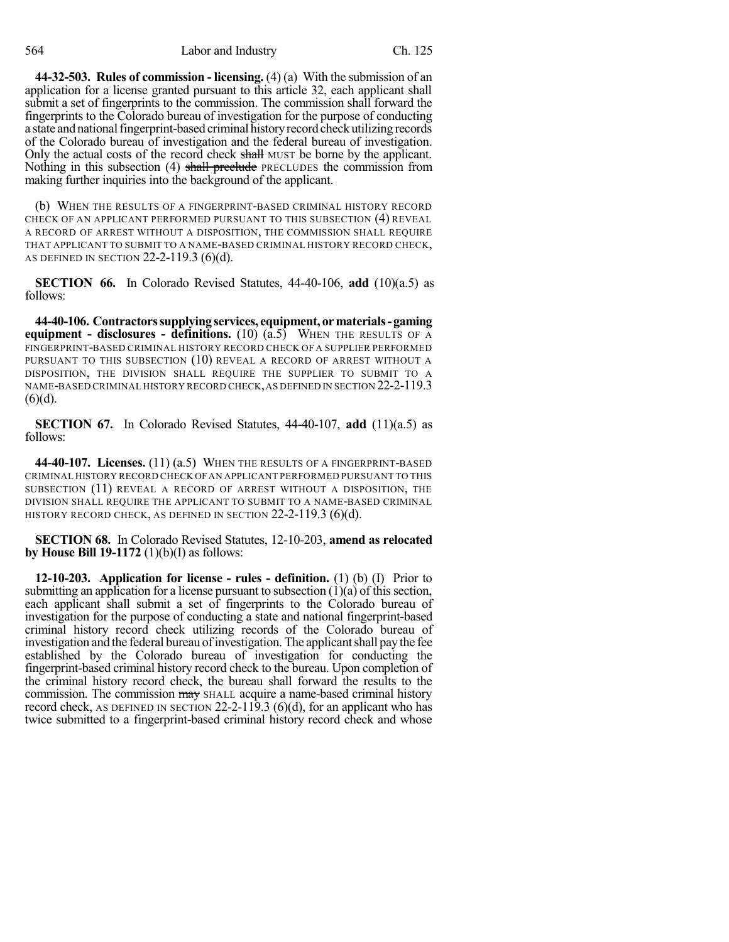**44-32-503. Rules of commission - licensing.** (4) (a) With the submission of an application for a license granted pursuant to this article 32, each applicant shall submit a set of fingerprints to the commission. The commission shall forward the fingerprints to the Colorado bureau of investigation for the purpose of conducting a state and national fingerprint-based criminal history record check utilizing records of the Colorado bureau of investigation and the federal bureau of investigation. Only the actual costs of the record check shall MUST be borne by the applicant. Nothing in this subsection (4) shall preclude PRECLUDES the commission from making further inquiries into the background of the applicant.

(b) WHEN THE RESULTS OF A FINGERPRINT-BASED CRIMINAL HISTORY RECORD CHECK OF AN APPLICANT PERFORMED PURSUANT TO THIS SUBSECTION (4) REVEAL A RECORD OF ARREST WITHOUT A DISPOSITION, THE COMMISSION SHALL REQUIRE THAT APPLICANT TO SUBMIT TO A NAME-BASED CRIMINAL HISTORY RECORD CHECK, AS DEFINED IN SECTION 22-2-119.3 (6)(d).

**SECTION 66.** In Colorado Revised Statutes, 44-40-106, **add** (10)(a.5) as follows:

**44-40-106. Contractorssupplyingservices, equipment, ormaterials-gaming equipment - disclosures - definitions.** (10) (a.5) WHEN THE RESULTS OF A FINGERPRINT-BASED CRIMINAL HISTORY RECORD CHECK OF A SUPPLIER PERFORMED PURSUANT TO THIS SUBSECTION (10) REVEAL A RECORD OF ARREST WITHOUT A DISPOSITION, THE DIVISION SHALL REQUIRE THE SUPPLIER TO SUBMIT TO A NAME-BASED CRIMINAL HISTORY RECORD CHECK,AS DEFINED IN SECTION 22-2-119.3  $(6)(d)$ .

**SECTION 67.** In Colorado Revised Statutes, 44-40-107, **add** (11)(a.5) as follows:

**44-40-107. Licenses.** (11) (a.5) WHEN THE RESULTS OF A FINGERPRINT-BASED CRIMINAL HISTORY RECORD CHECK OFAN APPLICANT PERFORMED PURSUANT TO THIS SUBSECTION (11) REVEAL A RECORD OF ARREST WITHOUT A DISPOSITION, THE DIVISION SHALL REQUIRE THE APPLICANT TO SUBMIT TO A NAME-BASED CRIMINAL HISTORY RECORD CHECK, AS DEFINED IN SECTION  $22-2-119.3$  (6)(d).

**SECTION 68.** In Colorado Revised Statutes, 12-10-203, **amend as relocated by House Bill 19-1172** (1)(b)(I) as follows:

**12-10-203. Application for license - rules - definition.** (1) (b) (I) Prior to submitting an application for a license pursuant to subsection  $(1)(a)$  of this section, each applicant shall submit a set of fingerprints to the Colorado bureau of investigation for the purpose of conducting a state and national fingerprint-based criminal history record check utilizing records of the Colorado bureau of investigation and the federal bureau of investigation. The applicant shall pay the fee established by the Colorado bureau of investigation for conducting the fingerprint-based criminal history record check to the bureau. Upon completion of the criminal history record check, the bureau shall forward the results to the commission. The commission may SHALL acquire a name-based criminal history record check, AS DEFINED IN SECTION  $22-2-119.3$  (6)(d), for an applicant who has twice submitted to a fingerprint-based criminal history record check and whose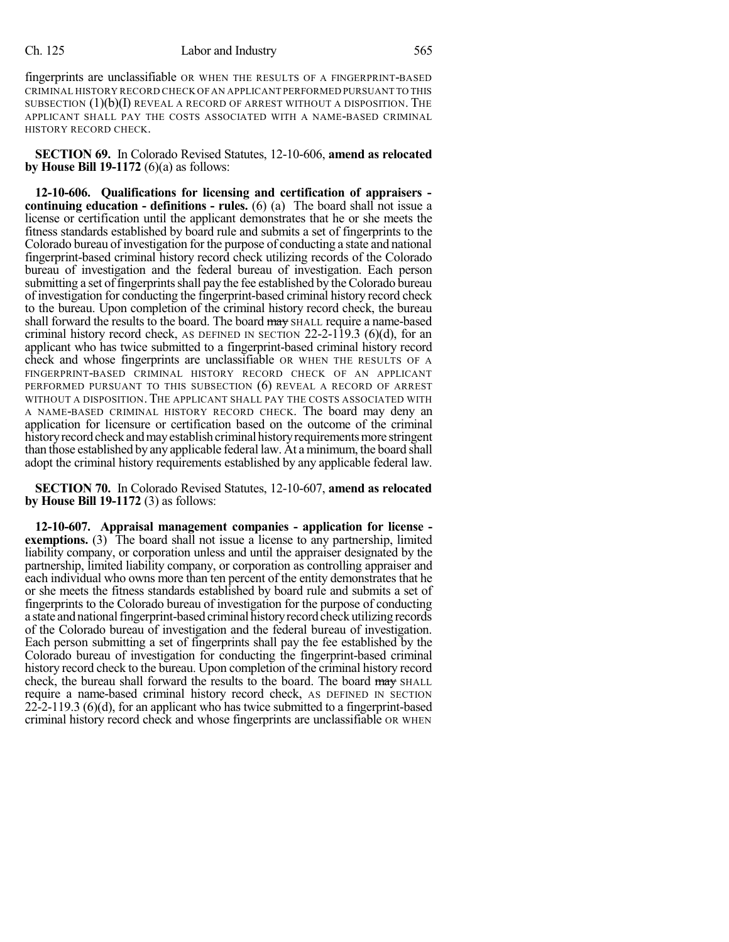#### Ch. 125 Labor and Industry 565

fingerprints are unclassifiable OR WHEN THE RESULTS OF A FINGERPRINT-BASED CRIMINAL HISTORY RECORD CHECK OFAN APPLICANT PERFORMED PURSUANT TO THIS SUBSECTION  $(1)(b)(I)$  REVEAL A RECORD OF ARREST WITHOUT A DISPOSITION. THE APPLICANT SHALL PAY THE COSTS ASSOCIATED WITH A NAME-BASED CRIMINAL HISTORY RECORD CHECK.

**SECTION 69.** In Colorado Revised Statutes, 12-10-606, **amend as relocated by House Bill 19-1172** (6)(a) as follows:

**12-10-606. Qualifications for licensing and certification of appraisers continuing education - definitions - rules.** (6) (a) The board shall not issue a license or certification until the applicant demonstrates that he or she meets the fitness standards established by board rule and submits a set of fingerprints to the Colorado bureau of investigation for the purpose of conducting a state and national fingerprint-based criminal history record check utilizing records of the Colorado bureau of investigation and the federal bureau of investigation. Each person submitting a set of fingerprints shall pay the fee established by the Colorado bureau of investigation for conducting the fingerprint-based criminal history record check to the bureau. Upon completion of the criminal history record check, the bureau shall forward the results to the board. The board may SHALL require a name-based criminal history record check, AS DEFINED IN SECTION  $22-2-119.3$  (6)(d), for an applicant who has twice submitted to a fingerprint-based criminal history record check and whose fingerprints are unclassifiable OR WHEN THE RESULTS OF A FINGERPRINT-BASED CRIMINAL HISTORY RECORD CHECK OF AN APPLICANT PERFORMED PURSUANT TO THIS SUBSECTION (6) REVEAL A RECORD OF ARREST WITHOUT A DISPOSITION. THE APPLICANT SHALL PAY THE COSTS ASSOCIATED WITH A NAME-BASED CRIMINAL HISTORY RECORD CHECK. The board may deny an application for licensure or certification based on the outcome of the criminal history record check and may establish criminal history requirements more stringent than those established by any applicable federal law. At a minimum, the board shall adopt the criminal history requirements established by any applicable federal law.

**SECTION 70.** In Colorado Revised Statutes, 12-10-607, **amend as relocated by House Bill 19-1172** (3) as follows:

**12-10-607. Appraisal management companies - application for license exemptions.** (3) The board shall not issue a license to any partnership, limited liability company, or corporation unless and until the appraiser designated by the partnership, limited liability company, or corporation as controlling appraiser and each individual who owns more than ten percent of the entity demonstrates that he or she meets the fitness standards established by board rule and submits a set of fingerprints to the Colorado bureau of investigation for the purpose of conducting a state and national fingerprint-based criminal history record check utilizing records of the Colorado bureau of investigation and the federal bureau of investigation. Each person submitting a set of fingerprints shall pay the fee established by the Colorado bureau of investigation for conducting the fingerprint-based criminal history record check to the bureau. Upon completion of the criminal history record check, the bureau shall forward the results to the board. The board may SHALL require a name-based criminal history record check, AS DEFINED IN SECTION 22-2-119.3 (6)(d), for an applicant who has twice submitted to a fingerprint-based criminal history record check and whose fingerprints are unclassifiable OR WHEN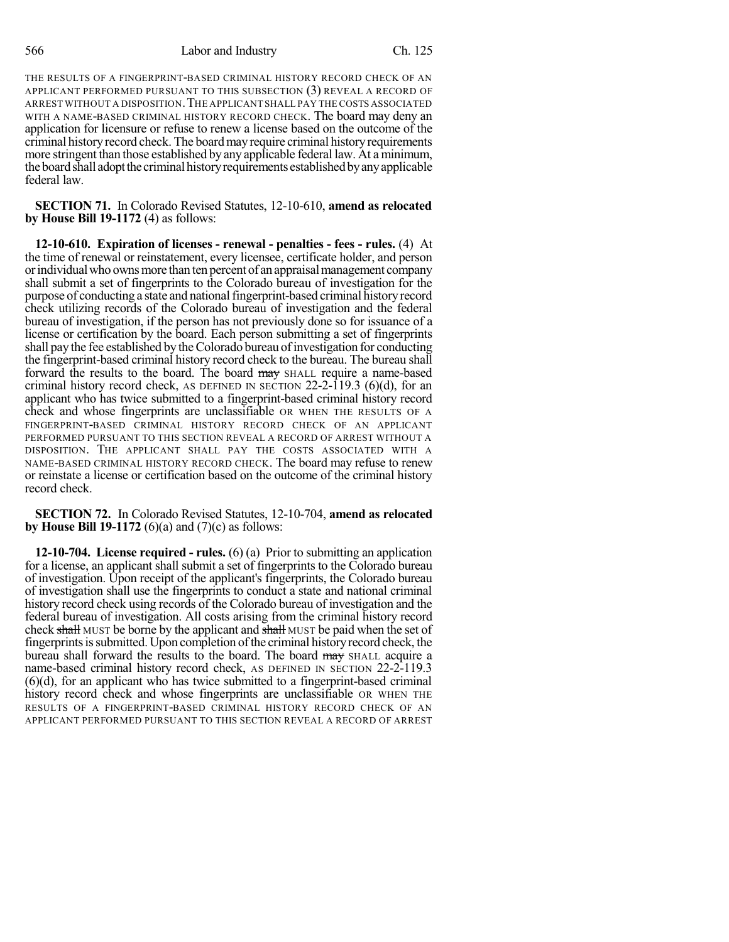THE RESULTS OF A FINGERPRINT-BASED CRIMINAL HISTORY RECORD CHECK OF AN APPLICANT PERFORMED PURSUANT TO THIS SUBSECTION (3) REVEAL A RECORD OF ARREST WITHOUT A DISPOSITION.THE APPLICANT SHALL PAY THE COSTS ASSOCIATED WITH A NAME-BASED CRIMINAL HISTORY RECORD CHECK. The board may deny an application for licensure or refuse to renew a license based on the outcome of the criminal history record check. The board may require criminal history requirements more stringent than those established by any applicable federal law. At a minimum, the board shall adopt the criminal history requirements established by any applicable federal law.

**SECTION 71.** In Colorado Revised Statutes, 12-10-610, **amend as relocated by House Bill 19-1172** (4) as follows:

**12-10-610. Expiration of licenses - renewal - penalties - fees - rules.** (4) At the time of renewal or reinstatement, every licensee, certificate holder, and person or individual who owns more than ten percent of an appraisal management company shall submit a set of fingerprints to the Colorado bureau of investigation for the purpose of conducting a state and national fingerprint-based criminal history record check utilizing records of the Colorado bureau of investigation and the federal bureau of investigation, if the person has not previously done so for issuance of a license or certification by the board. Each person submitting a set of fingerprints shall pay the fee established by the Colorado bureau of investigation for conducting the fingerprint-based criminal history record check to the bureau. The bureau shall forward the results to the board. The board may SHALL require a name-based criminal history record check, AS DEFINED IN SECTION 22-2-119.3 (6)(d), for an applicant who has twice submitted to a fingerprint-based criminal history record check and whose fingerprints are unclassifiable OR WHEN THE RESULTS OF A FINGERPRINT-BASED CRIMINAL HISTORY RECORD CHECK OF AN APPLICANT PERFORMED PURSUANT TO THIS SECTION REVEAL A RECORD OF ARREST WITHOUT A DISPOSITION. THE APPLICANT SHALL PAY THE COSTS ASSOCIATED WITH A NAME-BASED CRIMINAL HISTORY RECORD CHECK. The board may refuse to renew or reinstate a license or certification based on the outcome of the criminal history record check.

**SECTION 72.** In Colorado Revised Statutes, 12-10-704, **amend as relocated by House Bill 19-1172** (6)(a) and (7)(c) as follows:

**12-10-704. License required - rules.** (6) (a) Prior to submitting an application for a license, an applicant shall submit a set of fingerprints to the Colorado bureau of investigation. Upon receipt of the applicant's fingerprints, the Colorado bureau of investigation shall use the fingerprints to conduct a state and national criminal history record check using records of the Colorado bureau of investigation and the federal bureau of investigation. All costs arising from the criminal history record check shall MUST be borne by the applicant and shall MUST be paid when the set of fingerprintsissubmitted. Upon completion ofthe criminal historyrecord check, the bureau shall forward the results to the board. The board may SHALL acquire a name-based criminal history record check, AS DEFINED IN SECTION 22-2-119.3 (6)(d), for an applicant who has twice submitted to a fingerprint-based criminal history record check and whose fingerprints are unclassifiable OR WHEN THE RESULTS OF A FINGERPRINT-BASED CRIMINAL HISTORY RECORD CHECK OF AN APPLICANT PERFORMED PURSUANT TO THIS SECTION REVEAL A RECORD OF ARREST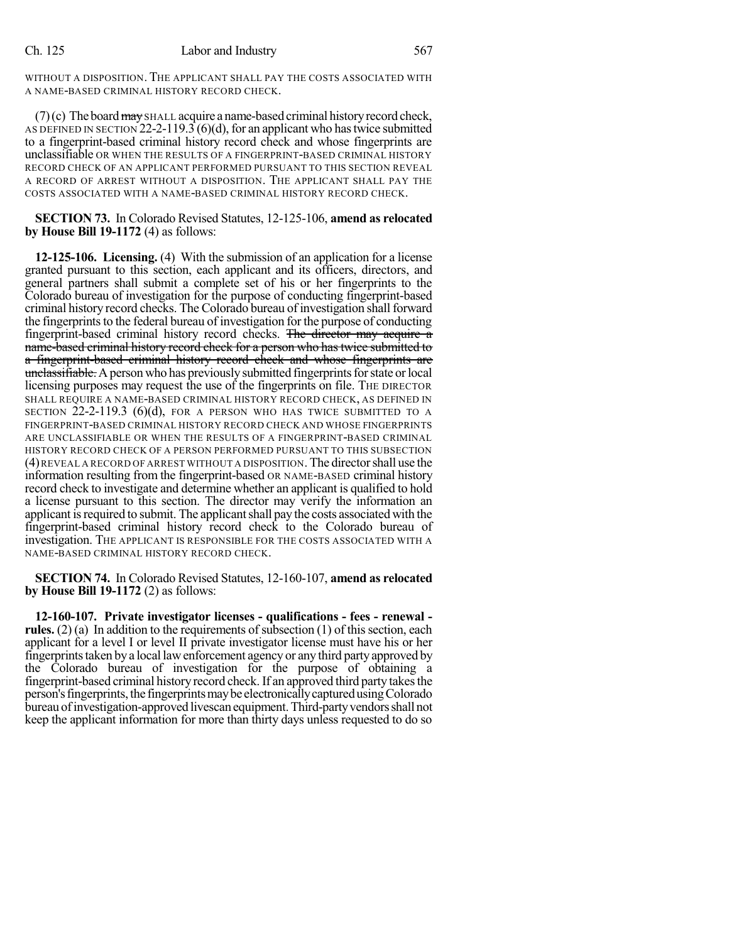WITHOUT A DISPOSITION. THE APPLICANT SHALL PAY THE COSTS ASSOCIATED WITH A NAME-BASED CRIMINAL HISTORY RECORD CHECK.

 $(7)(c)$  The board  $\frac{m}{3}$  SHALL acquire a name-based criminal history record check, AS DEFINED IN SECTION  $22-2-119.3$  (6)(d), for an applicant who has twice submitted to a fingerprint-based criminal history record check and whose fingerprints are unclassifiable OR WHEN THE RESULTS OF A FINGERPRINT-BASED CRIMINAL HISTORY RECORD CHECK OF AN APPLICANT PERFORMED PURSUANT TO THIS SECTION REVEAL A RECORD OF ARREST WITHOUT A DISPOSITION. THE APPLICANT SHALL PAY THE COSTS ASSOCIATED WITH A NAME-BASED CRIMINAL HISTORY RECORD CHECK.

**SECTION 73.** In Colorado Revised Statutes, 12-125-106, **amend as relocated by House Bill 19-1172** (4) as follows:

**12-125-106. Licensing.** (4) With the submission of an application for a license granted pursuant to this section, each applicant and its officers, directors, and general partners shall submit a complete set of his or her fingerprints to the Colorado bureau of investigation for the purpose of conducting fingerprint-based criminal history record checks. The Colorado bureau of investigation shall forward the fingerprints to the federal bureau of investigation for the purpose of conducting fingerprint-based criminal history record checks. The director may acquire a name-based criminal history record check for a person who has twice submitted to a fingerprint-based criminal history record check and whose fingerprints are unclassifiable. A person who has previously submitted fingerprints for state or local licensing purposes may request the use of the fingerprints on file. The DIRECTOR SHALL REQUIRE A NAME-BASED CRIMINAL HISTORY RECORD CHECK, AS DEFINED IN SECTION 22-2-119.3 (6)(d), FOR A PERSON WHO HAS TWICE SUBMITTED TO A FINGERPRINT-BASED CRIMINAL HISTORY RECORD CHECK AND WHOSE FINGERPRINTS ARE UNCLASSIFIABLE OR WHEN THE RESULTS OF A FINGERPRINT-BASED CRIMINAL HISTORY RECORD CHECK OF A PERSON PERFORMED PURSUANT TO THIS SUBSECTION (4)REVEAL A RECORD OF ARREST WITHOUT A DISPOSITION. The directorshall use the information resulting from the fingerprint-based OR NAME-BASED criminal history record check to investigate and determine whether an applicant is qualified to hold a license pursuant to this section. The director may verify the information an applicant is required to submit. The applicant shall pay the costs associated with the fingerprint-based criminal history record check to the Colorado bureau of investigation. THE APPLICANT IS RESPONSIBLE FOR THE COSTS ASSOCIATED WITH A NAME-BASED CRIMINAL HISTORY RECORD CHECK.

**SECTION 74.** In Colorado Revised Statutes, 12-160-107, **amend as relocated by House Bill 19-1172** (2) as follows:

**12-160-107. Private investigator licenses - qualifications - fees - renewal rules.** (2) (a) In addition to the requirements of subsection (1) of this section, each applicant for a level I or level II private investigator license must have his or her fingerprintstaken bya local lawenforcement agency or any third partyapproved by the Colorado bureau of investigation for the purpose of obtaining a fingerprint-based criminal history record check. If an approved third party takes the person's fingerprints, the fingerprints may be electronically captured using Colorado bureau of investigation-approved livescan equipment. Third-party vendors shall not keep the applicant information for more than thirty days unless requested to do so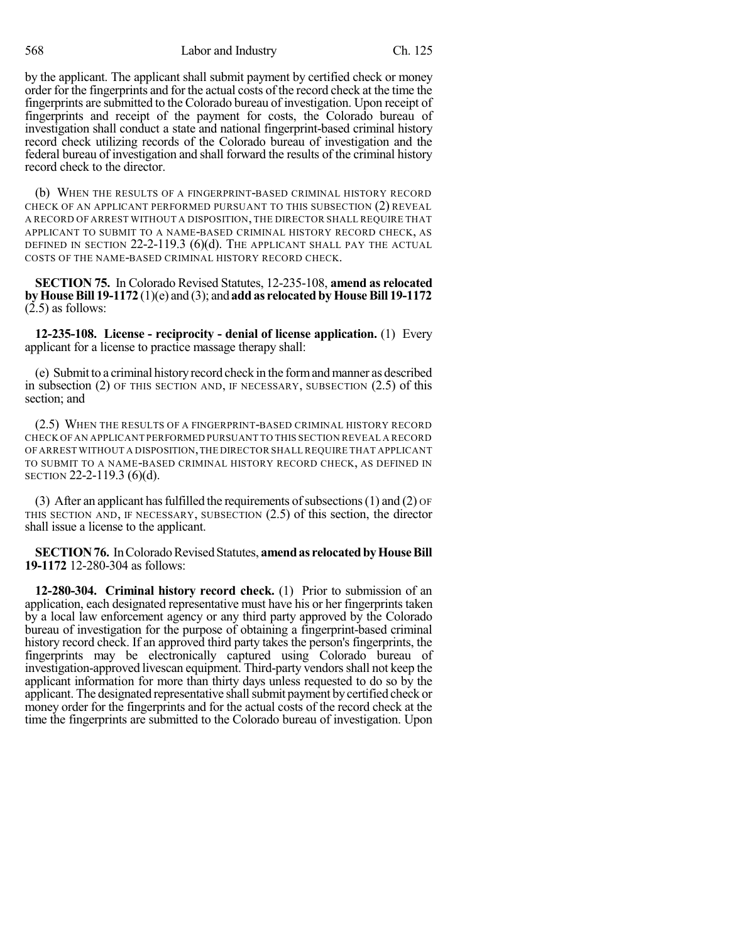568 Labor and Industry Ch. 125

by the applicant. The applicant shall submit payment by certified check or money order for the fingerprints and for the actual costs of the record check at the time the fingerprints are submitted to the Colorado bureau of investigation. Upon receipt of fingerprints and receipt of the payment for costs, the Colorado bureau of investigation shall conduct a state and national fingerprint-based criminal history record check utilizing records of the Colorado bureau of investigation and the federal bureau of investigation and shall forward the results of the criminal history record check to the director.

(b) WHEN THE RESULTS OF A FINGERPRINT-BASED CRIMINAL HISTORY RECORD CHECK OF AN APPLICANT PERFORMED PURSUANT TO THIS SUBSECTION (2) REVEAL A RECORD OF ARREST WITHOUT A DISPOSITION, THE DIRECTOR SHALL REQUIRE THAT APPLICANT TO SUBMIT TO A NAME-BASED CRIMINAL HISTORY RECORD CHECK, AS DEFINED IN SECTION  $22$ -2-119.3 (6)(d). The applicant shall pay the actual COSTS OF THE NAME-BASED CRIMINAL HISTORY RECORD CHECK.

**SECTION 75.** In Colorado Revised Statutes, 12-235-108, **amend as relocated byHouseBill 19-1172** (1)(e) and (3); and **addas relocated byHouseBill 19-1172**  $(2.5)$  as follows:

**12-235-108. License - reciprocity - denial of license application.** (1) Every applicant for a license to practice massage therapy shall:

(e) Submit to a criminal historyrecord check in the formandmanner as described in subsection (2) OF THIS SECTION AND, IF NECESSARY, SUBSECTION (2.5) of this section; and

(2.5) WHEN THE RESULTS OF A FINGERPRINT-BASED CRIMINAL HISTORY RECORD CHECK OF AN APPLICANT PERFORMED PURSUANT TO THIS SECTION REVEAL A RECORD OF ARREST WITHOUT A DISPOSITION,THE DIRECTOR SHALL REQUIRE THAT APPLICANT TO SUBMIT TO A NAME-BASED CRIMINAL HISTORY RECORD CHECK, AS DEFINED IN SECTION 22-2-119.3 (6)(d).

(3) After an applicant has fulfilled the requirements of subsections (1) and (2)  $\sigma$ F THIS SECTION AND, IF NECESSARY, SUBSECTION (2.5) of this section, the director shall issue a license to the applicant.

**SECTION 76.** In Colorado Revised Statutes, **amend as relocated by House Bill 19-1172** 12-280-304 as follows:

**12-280-304. Criminal history record check.** (1) Prior to submission of an application, each designated representative must have his or her fingerprints taken by a local law enforcement agency or any third party approved by the Colorado bureau of investigation for the purpose of obtaining a fingerprint-based criminal history record check. If an approved third party takes the person's fingerprints, the fingerprints may be electronically captured using Colorado bureau of investigation-approved livescan equipment. Third-party vendorsshall not keep the applicant information for more than thirty days unless requested to do so by the applicant. The designated representative shall submit payment by certified check or money order for the fingerprints and for the actual costs of the record check at the time the fingerprints are submitted to the Colorado bureau of investigation. Upon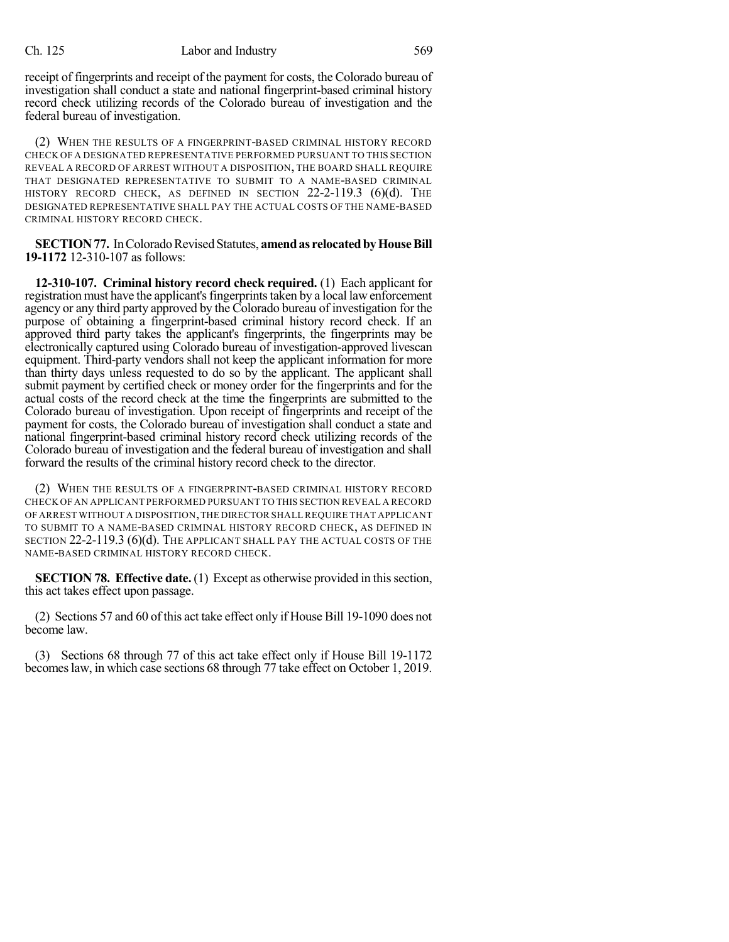receipt of fingerprints and receipt of the payment for costs, the Colorado bureau of investigation shall conduct a state and national fingerprint-based criminal history record check utilizing records of the Colorado bureau of investigation and the federal bureau of investigation.

(2) WHEN THE RESULTS OF A FINGERPRINT-BASED CRIMINAL HISTORY RECORD CHECK OF A DESIGNATED REPRESENTATIVE PERFORMED PURSUANT TO THIS SECTION REVEAL A RECORD OF ARREST WITHOUT A DISPOSITION, THE BOARD SHALL REQUIRE THAT DESIGNATED REPRESENTATIVE TO SUBMIT TO A NAME-BASED CRIMINAL HISTORY RECORD CHECK, AS DEFINED IN SECTION  $22-2-119.3$  (6)(d). The DESIGNATED REPRESENTATIVE SHALL PAY THE ACTUAL COSTS OF THE NAME-BASED CRIMINAL HISTORY RECORD CHECK.

**SECTION 77.** In Colorado Revised Statutes, **amend as relocated by House Bill 19-1172** 12-310-107 as follows:

**12-310-107. Criminal history record check required.** (1) Each applicant for registration must have the applicant's fingerprints taken by a local law enforcement agency or any third party approved by the Colorado bureau of investigation for the purpose of obtaining a fingerprint-based criminal history record check. If an approved third party takes the applicant's fingerprints, the fingerprints may be electronically captured using Colorado bureau of investigation-approved livescan equipment. Third-party vendors shall not keep the applicant information for more than thirty days unless requested to do so by the applicant. The applicant shall submit payment by certified check or money order for the fingerprints and for the actual costs of the record check at the time the fingerprints are submitted to the Colorado bureau of investigation. Upon receipt of fingerprints and receipt of the payment for costs, the Colorado bureau of investigation shall conduct a state and national fingerprint-based criminal history record check utilizing records of the Colorado bureau of investigation and the federal bureau of investigation and shall forward the results of the criminal history record check to the director.

(2) WHEN THE RESULTS OF A FINGERPRINT-BASED CRIMINAL HISTORY RECORD CHECK OF AN APPLICANT PERFORMED PURSUANT TO THIS SECTION REVEAL A RECORD OF ARREST WITHOUT A DISPOSITION,THE DIRECTOR SHALL REQUIRE THAT APPLICANT TO SUBMIT TO A NAME-BASED CRIMINAL HISTORY RECORD CHECK, AS DEFINED IN SECTION 22-2-119.3 (6)(d). THE APPLICANT SHALL PAY THE ACTUAL COSTS OF THE NAME-BASED CRIMINAL HISTORY RECORD CHECK.

**SECTION 78. Effective date.** (1) Except as otherwise provided in this section, this act takes effect upon passage.

(2) Sections 57 and 60 of this act take effect only if House Bill 19-1090 does not become law.

(3) Sections 68 through 77 of this act take effect only if House Bill 19-1172 becomeslaw, in which case sections 68 through 77 take effect on October 1, 2019.